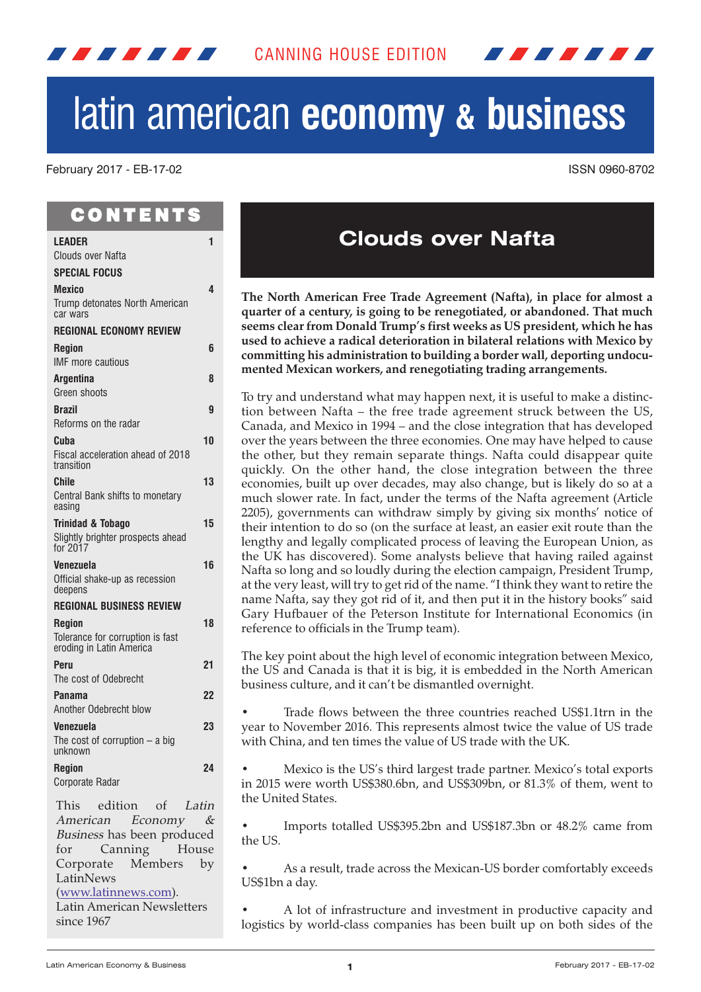

# latin american **economy & business**

February 2017 - EB-17-02 ISSN 0960-8702

# C O N T E N T S

<span id="page-0-0"></span>*. . . . . . .* 

| LEADER                                                       | 1  |
|--------------------------------------------------------------|----|
| <b>Clouds over Nafta</b>                                     |    |
| <b>SPECIAL FOCUS</b>                                         |    |
| Mexico                                                       | 4  |
| Trump detonates North American<br>car wars                   |    |
| <b>REGIONAL ECONOMY REVIEW</b>                               |    |
| <b>Region</b><br><b>IMF</b> more cautious                    | 6  |
| Argentina                                                    | 8  |
| Green shoots                                                 |    |
| Brazil                                                       | 9  |
| Reforms on the radar                                         |    |
| Cuba                                                         | 10 |
| Fiscal acceleration ahead of 2018<br>transition              |    |
| <b>Chile</b>                                                 | 13 |
| Central Bank shifts to monetary<br>easing                    |    |
| <b>Trinidad &amp; Tobago</b>                                 | 15 |
| Slightly brighter prospects ahead<br>for 2017                |    |
| Venezuela                                                    | 16 |
| Official shake-up as recession<br>deepens                    |    |
| <b>REGIONAL BUSINESS REVIEW</b>                              |    |
| <b>Region</b>                                                | 18 |
| Tolerance for corruption is fast<br>eroding in Latin America |    |
| Peru                                                         | 21 |
| The cost of Odebrecht                                        |    |
| Panama                                                       | 22 |
| Another Odebrecht blow                                       |    |
| Venezuela<br>The cost of corruption $-$ a big<br>unknown     | 23 |
| <b>Region</b>                                                | 24 |
| Corporate Radar                                              |    |
| This edition of Latin                                        |    |
| American Economy &                                           |    |
| Business has been produced                                   |    |
| Canning<br>House<br>for                                      |    |
| Corporate Members by                                         |    |

LatinNews (www.latinnews.com). Latin American Newsletters

since 1967

# **Clouds over Nafta**

**The North American Free Trade Agreement (Nafta), in place for almost a quarter of a century, is going to be renegotiated, or abandoned. That much seems clear from Donald Trump's first weeks as US president, which he has used to achieve a radical deterioration in bilateral relations with Mexico by committing his administration to building a border wall, deporting undocumented Mexican workers, and renegotiating trading arrangements.**

To try and understand what may happen next, it is useful to make a distinction between Nafta – the free trade agreement struck between the US, Canada, and Mexico in 1994 – and the close integration that has developed over the years between the three economies. One may have helped to cause the other, but they remain separate things. Nafta could disappear quite quickly. On the other hand, the close integration between the three economies, built up over decades, may also change, but is likely do so at a much slower rate. In fact, under the terms of the Nafta agreement (Article 2205), governments can withdraw simply by giving six months' notice of their intention to do so (on the surface at least, an easier exit route than the lengthy and legally complicated process of leaving the European Union, as the UK has discovered). Some analysts believe that having railed against Nafta so long and so loudly during the election campaign, President Trump, at the very least, will try to getrid of the name. "I think they want to retire the name Nafta, say they got rid of it, and then put it in the history books" said Gary Hufbauer of the Peterson Institute for International Economics (in reference to officials in the Trump team).

The key point about the high level of economic integration between Mexico, the US and Canada is that it is big, it is embedded in the North American business culture, and it can't be dismantled overnight.

• Trade flows between the three countries reached US\$1.1trn in the year to November 2016. This represents almost twice the value of US trade with China, and ten times the value of US trade with the UK.

• Mexico is the US's third largest trade partner. Mexico's total exports in 2015 were worth US\$380.6bn, and US\$309bn, or 81.3% of them, went to the United States.

• Imports totalled US\$395.2bn and US\$187.3bn or 48.2% came from the US.

As a result, trade across the Mexican-US border comfortably exceeds US\$1bn a day.

• A lot of infrastructure and investment in productive capacity and logistics by world-class companies has been built up on both sides of the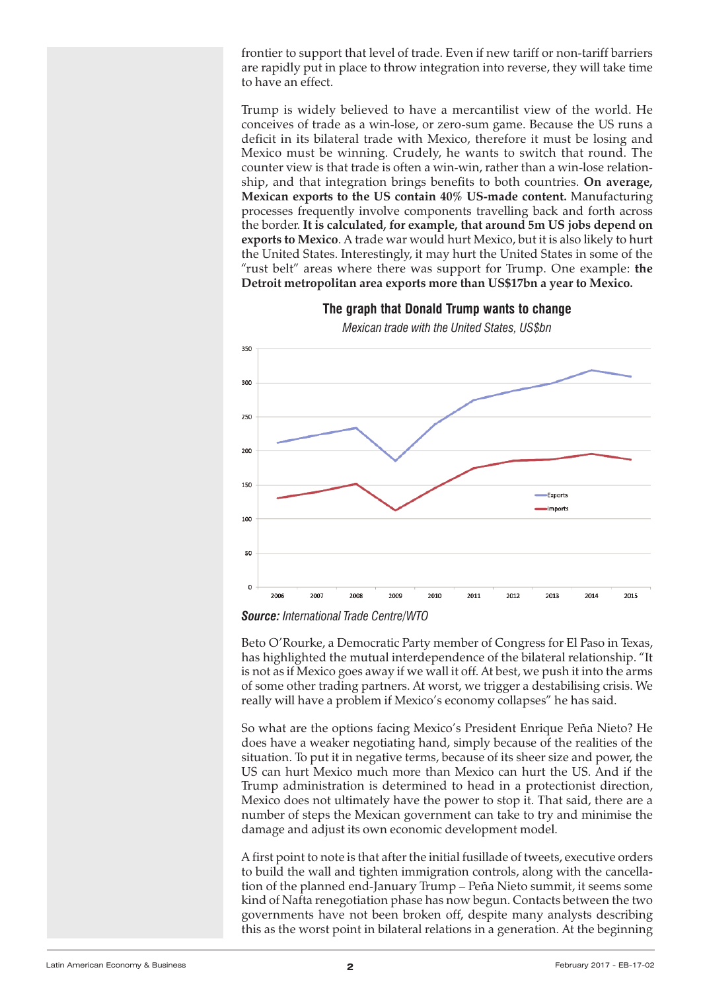frontier to support that level of trade. Even if new tariff or non-tariff barriers are rapidly put in place to throw integration into reverse, they will take time to have an effect.

Trump is widely believed to have a mercantilist view of the world. He conceives of trade as a win-lose, or zero-sum game. Because the US runs a deficit in its bilateral trade with Mexico, therefore it must be losing and Mexico must be winning. Crudely, he wants to switch that round. The counter view is that trade is often a win-win, rather than a win-lose relationship, and that integration brings benefits to both countries. **On average, Mexican exports to the US contain 40% US-made content.** Manufacturing processes frequently involve components travelling back and forth across the border. **It is calculated, for example, that around 5m US jobs depend on exports to Mexico**. A trade war would hurt Mexico, but it is also likely to hurt the United States. Interestingly, it may hurt the United States in some of the "rust belt" areas where there was support for Trump. One example: **the Detroit metropolitan area exports more than US\$17bn a year to Mexico.**



**The graph that Donald Trump wants to change**

*Mexican trade with the United States, US\$bn*

*Source: International Trade Centre/WTO*

Beto O'Rourke, a Democratic Party member of Congress for El Paso in Texas, has highlighted the mutual interdependence of the bilateral relationship. "It is not as if Mexico goes away if we wall it off. At best, we push it into the arms of some other trading partners. At worst, we trigger a destabilising crisis. We really will have a problem if Mexico's economy collapses" he has said.

So what are the options facing Mexico's President Enrique Peña Nieto? He does have a weaker negotiating hand, simply because of the realities of the situation. To put it in negative terms, because of its sheer size and power, the US can hurt Mexico much more than Mexico can hurt the US. And if the Trump administration is determined to head in a protectionist direction, Mexico does not ultimately have the power to stop it. That said, there are a number of steps the Mexican government can take to try and minimise the damage and adjust its own economic development model.

A first point to note is that after the initial fusillade of tweets, executive orders to build the wall and tighten immigration controls, along with the cancellation of the planned end-January Trump – Peña Nieto summit, it seems some kind of Nafta renegotiation phase has now begun. Contacts between the two governments have not been broken off, despite many analysts describing this as the worst point in bilateral relations in a generation. At the beginning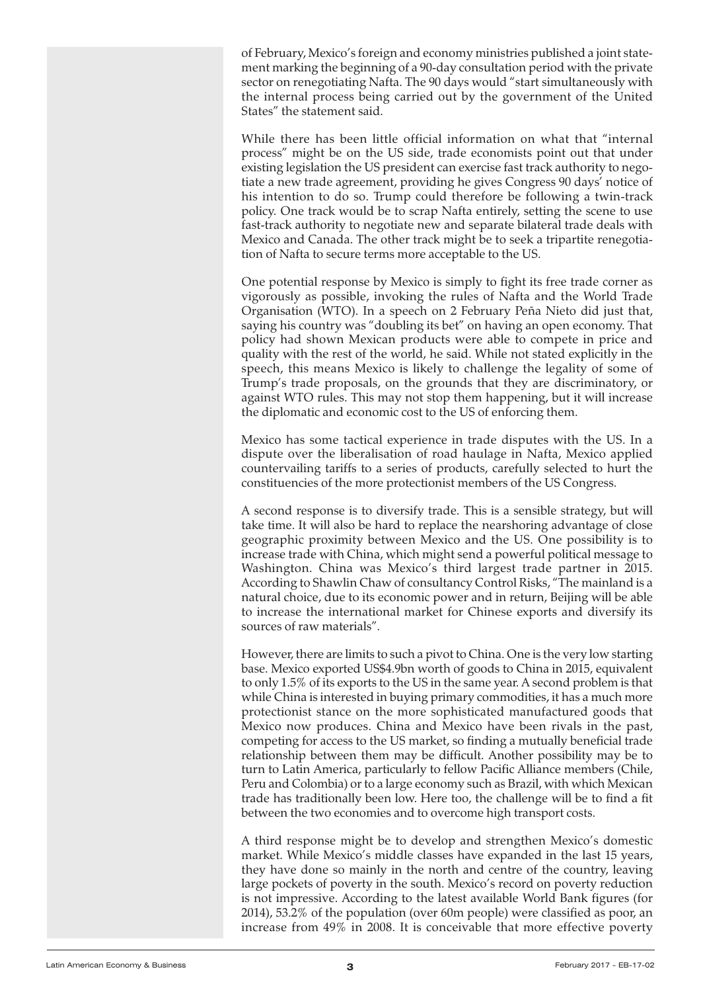of February, Mexico's foreign and economy ministries published a joint statement marking the beginning of a 90-day consultation period with the private sector on renegotiating Nafta. The 90 days would "start simultaneously with the internal process being carried out by the government of the United States" the statement said.

While there has been little official information on what that "internal process" might be on the US side, trade economists point out that under existing legislation the US president can exercise fast track authority to negotiate a new trade agreement, providing he gives Congress 90 days' notice of his intention to do so. Trump could therefore be following a twin-track policy. One track would be to scrap Nafta entirely, setting the scene to use fast-track authority to negotiate new and separate bilateral trade deals with Mexico and Canada. The other track might be to seek a tripartite renegotiation of Nafta to secure terms more acceptable to the US.

One potential response by Mexico is simply to fight its free trade corner as vigorously as possible, invoking the rules of Nafta and the World Trade Organisation (WTO). In a speech on 2 February Peña Nieto did just that, saying his country was "doubling its bet" on having an open economy. That policy had shown Mexican products were able to compete in price and quality with the rest of the world, he said. While not stated explicitly in the speech, this means Mexico is likely to challenge the legality of some of Trump's trade proposals, on the grounds that they are discriminatory, or against WTO rules. This may not stop them happening, but it will increase the diplomatic and economic cost to the US of enforcing them.

Mexico has some tactical experience in trade disputes with the US. In a dispute over the liberalisation of road haulage in Nafta, Mexico applied countervailing tariffs to a series of products, carefully selected to hurt the constituencies of the more protectionist members of the US Congress.

A second response is to diversify trade. This is a sensible strategy, but will take time. It will also be hard to replace the nearshoring advantage of close geographic proximity between Mexico and the US. One possibility is to increase trade with China, which might send a powerful political message to Washington. China was Mexico's third largest trade partner in 2015. According to Shawlin Chaw of consultancy Control Risks, "The mainland is a natural choice, due to its economic power and in return, Beijing will be able to increase the international market for Chinese exports and diversify its sources of raw materials".

However, there are limits to such a pivot to China. One is the very low starting base. Mexico exported US\$4.9bn worth of goods to China in 2015, equivalent to only 1.5% of its exports to the US in the same year. A second problem is that while China is interested in buying primary commodities, it has a much more protectionist stance on the more sophisticated manufactured goods that Mexico now produces. China and Mexico have been rivals in the past, competing for access to the US market, so finding a mutually beneficial trade relationship between them may be difficult. Another possibility may be to turn to Latin America, particularly to fellow Pacific Alliance members (Chile, Peru and Colombia) or to a large economy such as Brazil, with which Mexican trade has traditionally been low. Here too, the challenge will be to find a fit between the two economies and to overcome high transport costs.

A third response might be to develop and strengthen Mexico's domestic market. While Mexico's middle classes have expanded in the last 15 years, they have done so mainly in the north and centre of the country, leaving large pockets of poverty in the south. Mexico's record on poverty reduction is not impressive. According to the latest available World Bank figures (for 2014), 53.2% of the population (over 60m people) were classified as poor, an increase from 49% in 2008. It is conceivable that more effective poverty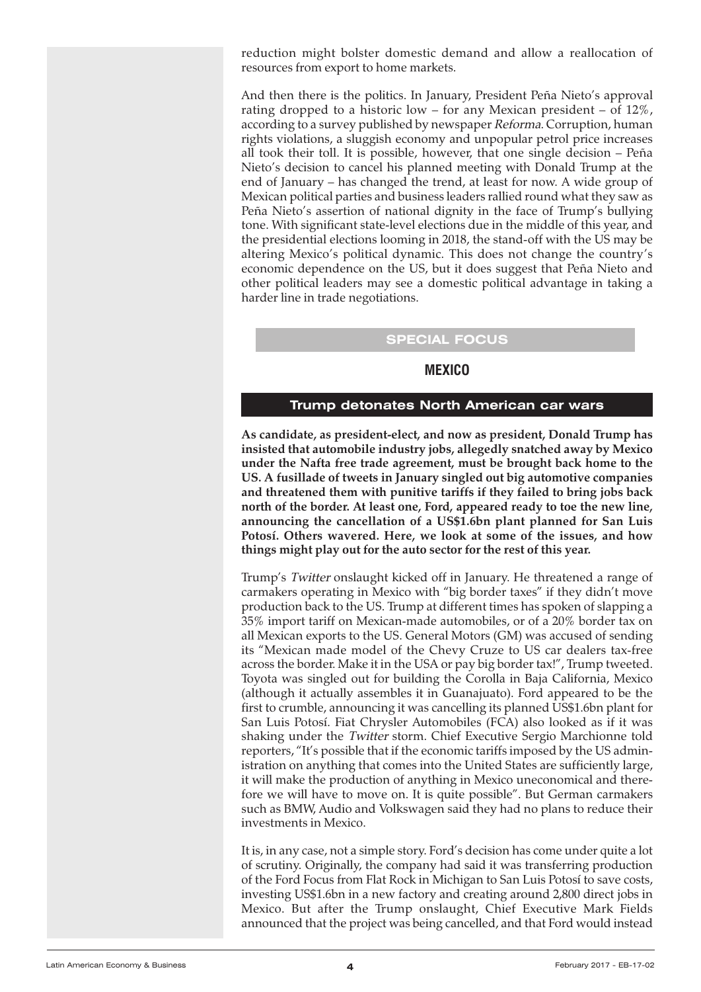<span id="page-3-0"></span>reduction might bolster domestic demand and allow a reallocation of resources from export to home markets.

And then there is the politics. In January, President Peña Nieto's approval rating dropped to a historic low – for any Mexican president – of  $12\%$ , according to a survey published by newspaper Reforma. Corruption, human rights violations, a sluggish economy and unpopular petrol price increases all took their toll. It is possible, however, that one single decision – Peña Nieto's decision to cancel his planned meeting with Donald Trump at the end of January – has changed the trend, at least for now. A wide group of Mexican political parties and business leaders rallied round what they saw as Peña Nieto's assertion of national dignity in the face of Trump's bullying tone. With significant state-level elections due in the middle of this year, and the presidential elections looming in 2018, the stand-off with the US may be altering Mexico's political dynamic. This does not change the country's economic dependence on the US, but it does suggest that Peña Nieto and other political leaders may see a domestic political advantage in taking a harder line in trade negotiations.

# **SPECIAL FOCUS**

# **MEXICO**

#### **Trump detonates North American car wars**

**As candidate, as president-elect, and now as president, Donald Trump has insisted that automobile industry jobs, allegedly snatched away by Mexico under the Nafta free trade agreement, must be brought back home to the US. A fusillade of tweets in January singled out big automotive companies and threatened them with punitive tariffs if they failed to bring jobs back north of the border. At least one, Ford, appeared ready to toe the new line, announcing the cancellation of a US\$1.6bn plant planned for San Luis Potosí. Others wavered. Here, we look at some of the issues, and how things might play out for the auto sector for the rest of this year.**

Trump's Twitter onslaught kicked off in January. He threatened a range of carmakers operating in Mexico with "big border taxes" if they didn't move production back to the US. Trump at different times has spoken of slapping a 35% import tariff on Mexican-made automobiles, or of a 20% border tax on all Mexican exports to the US. General Motors (GM) was accused of sending its "Mexican made model of the Chevy Cruze to US car dealers tax-free across the border. Make it in the USA or pay big border tax!", Trump tweeted. Toyota was singled out for building the Corolla in Baja California, Mexico (although it actually assembles it in Guanajuato). Ford appeared to be the first to crumble, announcing it was cancelling its planned US\$1.6bn plant for San Luis Potosí. Fiat Chrysler Automobiles (FCA) also looked as if it was shaking under the Twitter storm. Chief Executive Sergio Marchionne told reporters, "It's possible that if the economic tariffs imposed by the US administration on anything that comes into the United States are sufficiently large, it will make the production of anything in Mexico uneconomical and therefore we will have to move on. It is quite possible". But German carmakers such as BMW, Audio and Volkswagen said they had no plans to reduce their investments in Mexico.

It is, in any case, not a simple story. Ford's decision has come under quite a lot of scrutiny. Originally, the company had said it was transferring production of the Ford Focus from Flat Rock in Michigan to San Luis Potosí to save costs, investing US\$1.6bn in a new factory and creating around 2,800 direct jobs in Mexico. But after the Trump onslaught, Chief Executive Mark Fields announced that the project was being cancelled, and that Ford would instead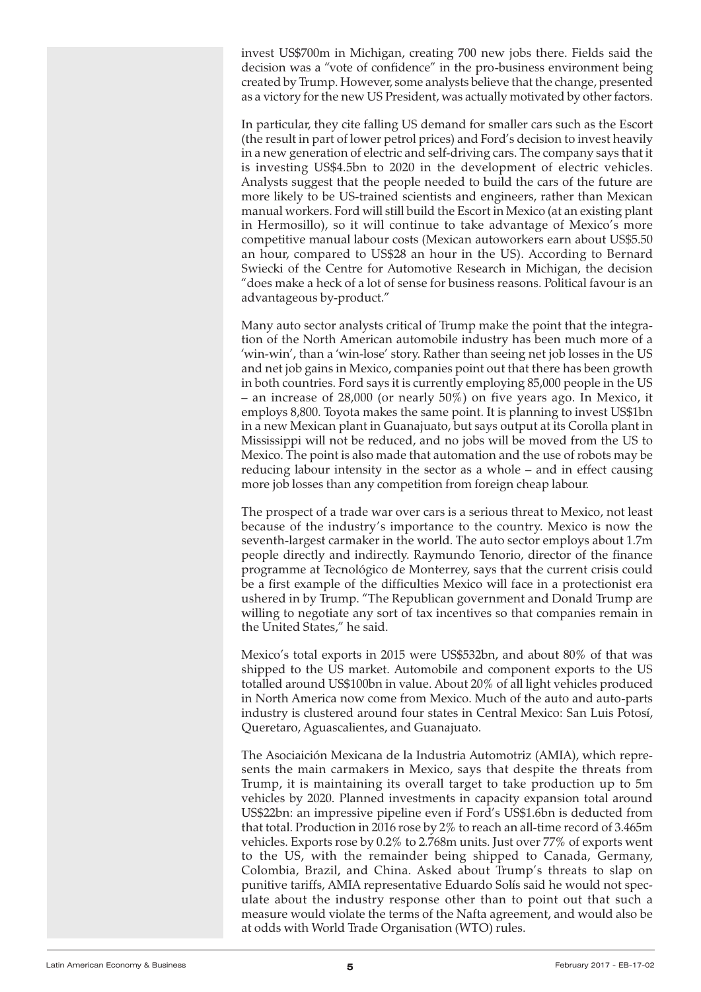invest US\$700m in Michigan, creating 700 new jobs there. Fields said the decision was a "vote of confidence" in the pro-business environment being created by Trump. However, some analysts believe that the change, presented as a victory for the new US President, was actually motivated by other factors.

In particular, they cite falling US demand for smaller cars such as the Escort (the result in part of lower petrol prices) and Ford's decision to invest heavily in a new generation of electric and self-driving cars. The company says that it is investing US\$4.5bn to 2020 in the development of electric vehicles. Analysts suggest that the people needed to build the cars of the future are more likely to be US-trained scientists and engineers, rather than Mexican manual workers. Ford will still build the Escort in Mexico (at an existing plant in Hermosillo), so it will continue to take advantage of Mexico's more competitive manual labour costs (Mexican autoworkers earn about US\$5.50 an hour, compared to US\$28 an hour in the US). According to Bernard Swiecki of the Centre for Automotive Research in Michigan, the decision "does make a heck of a lot of sense for business reasons. Political favour is an advantageous by-product."

Many auto sector analysts critical of Trump make the point that the integration of the North American automobile industry has been much more of a 'win-win', than a 'win-lose' story. Rather than seeing net job losses in the US and net job gains in Mexico, companies point out that there has been growth in both countries. Ford says it is currently employing 85,000 people in the US – an increase of 28,000 (or nearly 50%) on five years ago. In Mexico, it employs 8,800. Toyota makes the same point. It is planning to invest US\$1bn in a new Mexican plant in Guanajuato, but says output at its Corolla plant in Mississippi will not be reduced, and no jobs will be moved from the US to Mexico. The point is also made that automation and the use of robots may be reducing labour intensity in the sector as a whole – and in effect causing more job losses than any competition from foreign cheap labour.

The prospect of a trade war over cars is a serious threat to Mexico, not least because of the industry's importance to the country. Mexico is now the seventh-largest carmaker in the world. The auto sector employs about 1.7m people directly and indirectly. Raymundo Tenorio, director of the finance programme at Tecnológico de Monterrey, says that the current crisis could be a first example of the difficulties Mexico will face in a protectionist era ushered in by Trump. "The Republican government and Donald Trump are willing to negotiate any sort of tax incentives so that companies remain in the United States," he said.

Mexico's total exports in 2015 were US\$532bn, and about 80% of that was shipped to the US market. Automobile and component exports to the US totalled around US\$100bn in value. About 20% of all light vehicles produced in North America now come from Mexico. Much of the auto and auto-parts industry is clustered around four states in Central Mexico: San Luis Potosí, Queretaro, Aguascalientes, and Guanajuato.

The Asociaición Mexicana de la Industria Automotriz (AMIA), which represents the main carmakers in Mexico, says that despite the threats from Trump, it is maintaining its overall target to take production up to 5m vehicles by 2020. Planned investments in capacity expansion total around US\$22bn: an impressive pipeline even if Ford's US\$1.6bn is deducted from that total. Production in 2016 rose by 2% to reach an all-time record of 3.465m vehicles. Exports rose by 0.2% to 2.768m units. Just over 77% of exports went to the US, with the remainder being shipped to Canada, Germany, Colombia, Brazil, and China. Asked about Trump's threats to slap on punitive tariffs, AMIA representative Eduardo Solís said he would not speculate about the industry response other than to point out that such a measure would violate the terms of the Nafta agreement, and would also be at odds with World Trade Organisation (WTO) rules.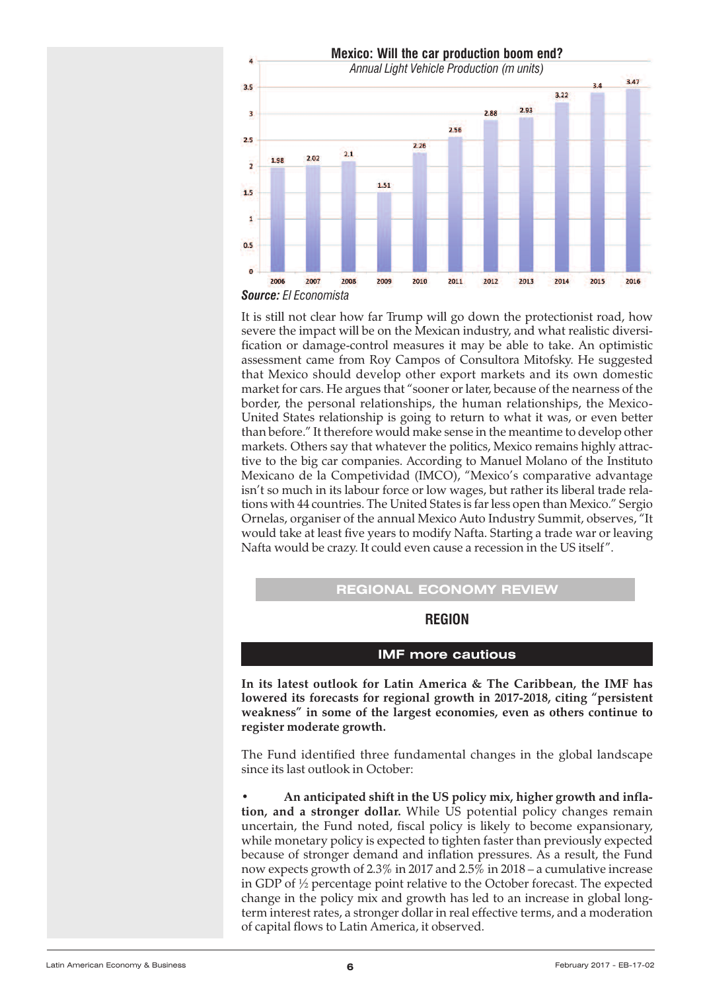<span id="page-5-0"></span>

It is still not clear how far Trump will go down the protectionist road, how severe the impact will be on the Mexican industry, and what realistic diversification or damage-control measures it may be able to take. An optimistic assessment came from Roy Campos of Consultora Mitofsky. He suggested that Mexico should develop other export markets and its own domestic market for cars. He argues that "sooner or later, because of the nearness of the border, the personal relationships, the human relationships, the Mexico-United States relationship is going to return to what it was, or even better than before." It therefore would make sense in the meantime to develop other markets. Others say that whatever the politics, Mexico remains highly attractive to the big car companies. According to Manuel Molano of the Instituto Mexicano de la Competividad (IMCO), "Mexico's comparative advantage isn't so much in its labour force or low wages, but rather its liberal trade relations with 44 countries. The United States is farless open than Mexico." Sergio Ornelas, organiser of the annual Mexico Auto Industry Summit, observes, "It would take at least five years to modify Nafta. Starting a trade war or leaving Nafta would be crazy. It could even cause a recession in the US itself".

# **REGIONAL ECONOMY REVIEW**

## **REGION**

## **IMF more cautious**

**In its latest outlook for Latin America & The Caribbean, the IMF has lowered its forecasts for regional growth in 2017-2018, citing "persistent weakness" in some of the largest economies, even as others continue to register moderate growth.**

The Fund identified three fundamental changes in the global landscape since its last outlook in October:

• **An anticipated shift in the US policy mix, higher growth and inflation, and a stronger dollar.** While US potential policy changes remain uncertain, the Fund noted, fiscal policy is likely to become expansionary, while monetary policy is expected to tighten faster than previously expected because of stronger demand and inflation pressures. As a result, the Fund now expects growth of 2.3% in 2017 and 2.5% in 2018 – a cumulative increase in GDP of ½ percentage point relative to the October forecast. The expected change in the policy mix and growth has led to an increase in global longterm interest rates, a stronger dollar in real effective terms, and a moderation of capital flows to Latin America, it observed.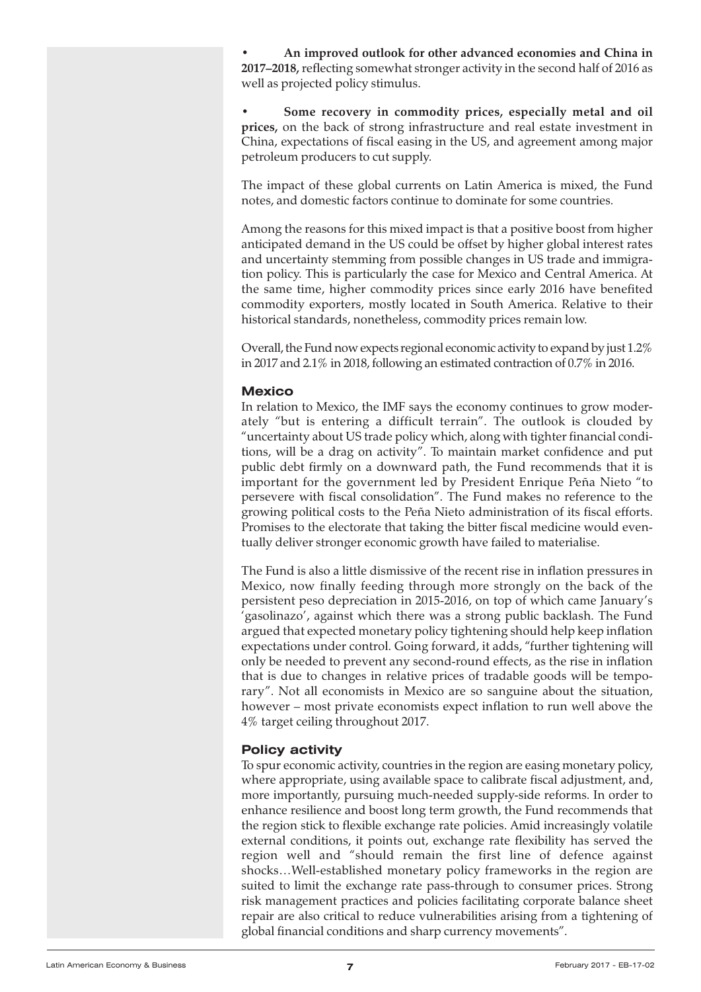• **An improved outlook for other advanced economies and China in 2017–2018,**reflecting somewhat stronger activity in the second half of 2016 as well as projected policy stimulus.

• **Some recovery in commodity prices, especially metal and oil prices,** on the back of strong infrastructure and real estate investment in China, expectations of fiscal easing in the US, and agreement among major petroleum producers to cut supply.

The impact of these global currents on Latin America is mixed, the Fund notes, and domestic factors continue to dominate for some countries.

Among the reasons for this mixed impact is that a positive boost from higher anticipated demand in the US could be offset by higher global interest rates and uncertainty stemming from possible changes in US trade and immigration policy. This is particularly the case for Mexico and Central America. At the same time, higher commodity prices since early 2016 have benefited commodity exporters, mostly located in South America. Relative to their historical standards, nonetheless, commodity prices remain low.

Overall, the Fund now expects regional economic activity to expand by just 1.2% in 2017 and 2.1% in 2018, following an estimated contraction of 0.7% in 2016.

## **Mexico**

In relation to Mexico, the IMF says the economy continues to grow moderately "but is entering a difficult terrain". The outlook is clouded by "uncertainty about US trade policy which, along with tighter financial conditions, will be a drag on activity". To maintain market confidence and put public debt firmly on a downward path, the Fund recommends that it is important for the government led by President Enrique Peña Nieto "to persevere with fiscal consolidation". The Fund makes no reference to the growing political costs to the Peña Nieto administration of its fiscal efforts. Promises to the electorate that taking the bitter fiscal medicine would eventually deliver stronger economic growth have failed to materialise.

The Fund is also a little dismissive of the recent rise in inflation pressures in Mexico, now finally feeding through more strongly on the back of the persistent peso depreciation in 2015-2016, on top of which came January's 'gasolinazo', against which there was a strong public backlash. The Fund argued that expected monetary policy tightening should help keep inflation expectations under control. Going forward, it adds, "further tightening will only be needed to prevent any second-round effects, as the rise in inflation that is due to changes in relative prices of tradable goods will be temporary". Not all economists in Mexico are so sanguine about the situation, however – most private economists expect inflation to run well above the 4% target ceiling throughout 2017.

#### **Policy activity**

To spur economic activity, countries in the region are easing monetary policy, where appropriate, using available space to calibrate fiscal adjustment, and, more importantly, pursuing much-needed supply-side reforms. In order to enhance resilience and boost long term growth, the Fund recommends that the region stick to flexible exchange rate policies. Amid increasingly volatile external conditions, it points out, exchange rate flexibility has served the region well and "should remain the first line of defence against shocks…Well-established monetary policy frameworks in the region are suited to limit the exchange rate pass-through to consumer prices. Strong risk management practices and policies facilitating corporate balance sheet repair are also critical to reduce vulnerabilities arising from a tightening of global financial conditions and sharp currency movements".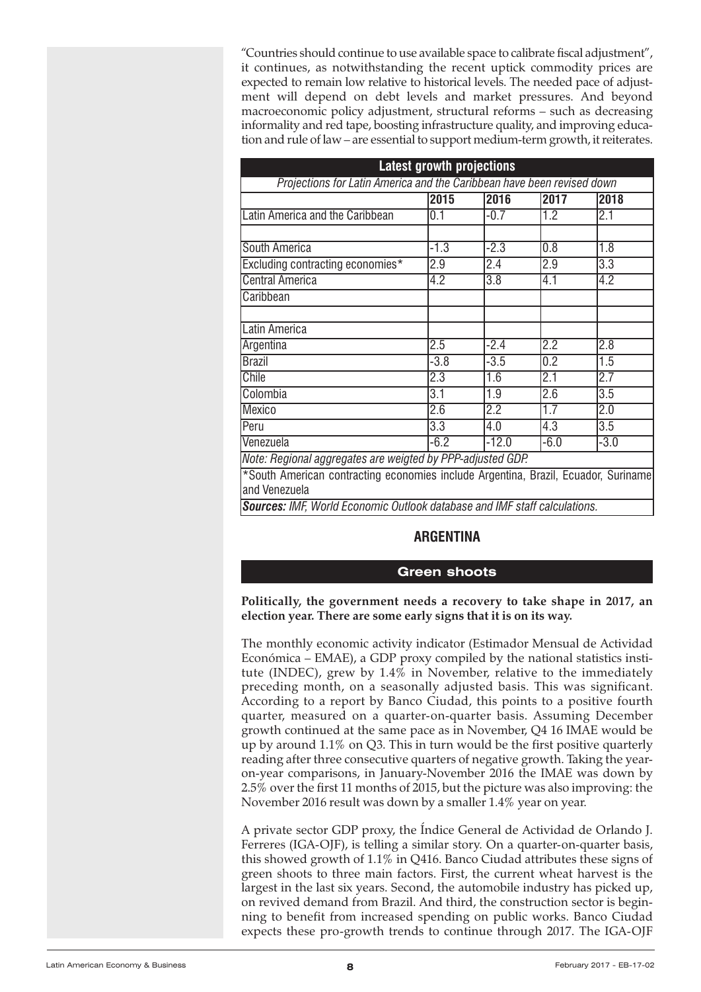<span id="page-7-0"></span>"Countries should continue to use available space to calibrate fiscal adjustment", it continues, as notwithstanding the recent uptick commodity prices are expected to remain low relative to historical levels. The needed pace of adjustment will depend on debt levels and market pressures. And beyond macroeconomic policy adjustment, structural reforms – such as decreasing informality and red tape, boosting infrastructure quality, and improving education and rule of law – are essential to support medium-term growth, it reiterates.

| <b>Latest growth projections</b>                                                                                |                  |                  |                  |                  |
|-----------------------------------------------------------------------------------------------------------------|------------------|------------------|------------------|------------------|
| Projections for Latin America and the Caribbean have been revised down                                          |                  |                  |                  |                  |
|                                                                                                                 | 2015             | 2016             | 2017             | 2018             |
| Latin America and the Caribbean                                                                                 | 0.1              | $-0.7$           | 1.2              | 2.1              |
|                                                                                                                 |                  |                  |                  |                  |
| South America                                                                                                   | $-1.3$           | $-2.3$           | 0.8              | 1.8              |
| Excluding contracting economies*                                                                                | 2.9              | 2.4              | 2.9              | $\overline{3.3}$ |
| <b>Central America</b>                                                                                          | 4.2              | $\overline{3.8}$ | 4.1              | 4.2              |
| Caribbean                                                                                                       |                  |                  |                  |                  |
|                                                                                                                 |                  |                  |                  |                  |
| Latin America                                                                                                   |                  |                  |                  |                  |
| Argentina                                                                                                       | 2.5              | $-2.4$           | 2.2              | 2.8              |
| <b>Brazil</b>                                                                                                   | $-3.8$           | $-3.5$           | 0.2              | 1.5              |
| Chile                                                                                                           | 2.3              | 1.6              | 2.1              | 2.7              |
| Colombia                                                                                                        | $\overline{3.1}$ | 1.9              | $\overline{2.6}$ | $\overline{3.5}$ |
| Mexico                                                                                                          | 2.6              | 2.2              | 1.7              | 2.0              |
| Peru                                                                                                            | 3.3              | 4.0              | 4.3              | 3.5              |
| Venezuela                                                                                                       | $-6.2$           | $-12.0$          | $-6.0$           | $-3.0$           |
| Note: Regional aggregates are weigted by PPP-adjusted GDP.                                                      |                  |                  |                  |                  |
| *South American contracting economies include Argentina, Brazil, Ecuador, Suriname<br>and Venezuela<br>$\cdots$ |                  |                  |                  |                  |

*Sources: IMF, World Economic Outlook database and IMF staff calculations.*

# **ARGENTINA**

## **Green shoots**

#### **Politically, the government needs a recovery to take shape in 2017, an election year. There are some early signs that it is on its way.**

The monthly economic activity indicator (Estimador Mensual de Actividad Económica – EMAE), a GDP proxy compiled by the national statistics institute (INDEC), grew by 1.4% in November, relative to the immediately preceding month, on a seasonally adjusted basis. This was significant. According to a report by Banco Ciudad, this points to a positive fourth quarter, measured on a quarter-on-quarter basis. Assuming December growth continued at the same pace as in November, Q4 16 IMAE would be up by around 1.1% on Q3. This in turn would be the first positive quarterly reading after three consecutive quarters of negative growth. Taking the yearon-year comparisons, in January-November 2016 the IMAE was down by 2.5% over the first 11 months of 2015, but the picture was also improving: the November 2016 result was down by a smaller 1.4% year on year.

A private sector GDP proxy, the Índice General de Actividad de Orlando J. Ferreres (IGA-OJF), is telling a similar story. On a quarter-on-quarter basis, this showed growth of 1.1% in Q416. Banco Ciudad attributes these signs of green shoots to three main factors. First, the current wheat harvest is the largest in the last six years. Second, the automobile industry has picked up, on revived demand from Brazil. And third, the construction sector is beginning to benefit from increased spending on public works. Banco Ciudad expects these pro-growth trends to continue through 2017. The IGA-OJF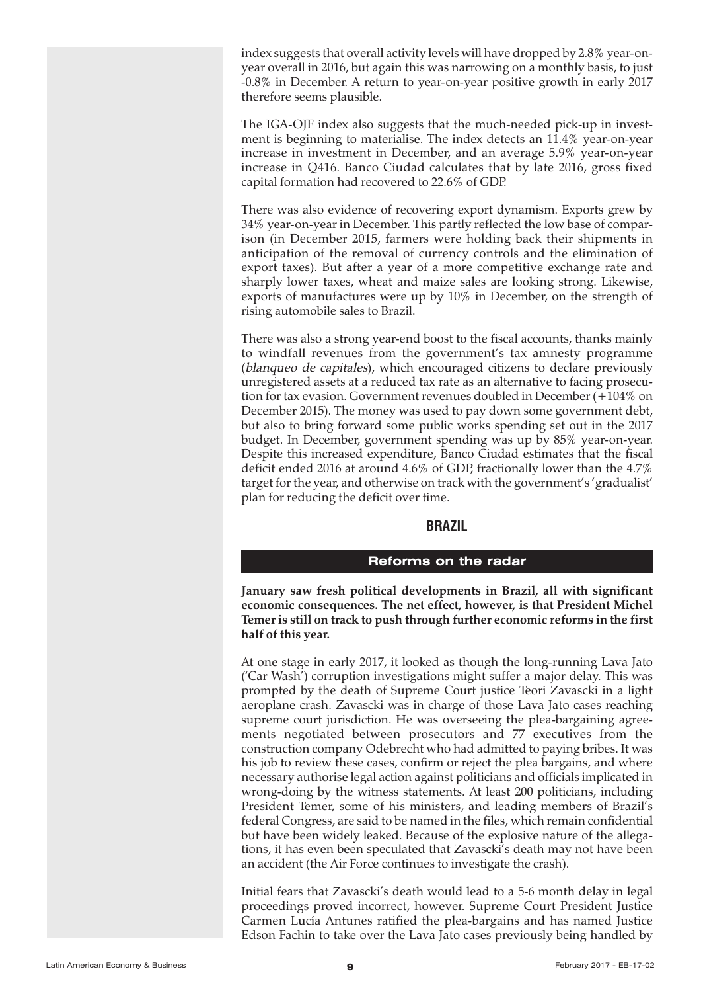<span id="page-8-0"></span>index suggests that overall activity levels will have dropped by 2.8% year-onyear overall in 2016, but again this was narrowing on a monthly basis, to just -0.8% in December. A return to year-on-year positive growth in early 2017 therefore seems plausible.

The IGA-OJF index also suggests that the much-needed pick-up in investment is beginning to materialise. The index detects an 11.4% year-on-year increase in investment in December, and an average 5.9% year-on-year increase in Q416. Banco Ciudad calculates that by late 2016, gross fixed capital formation had recovered to 22.6% of GDP.

There was also evidence of recovering export dynamism. Exports grew by 34% year-on-year in December. This partly reflected the low base of comparison (in December 2015, farmers were holding back their shipments in anticipation of the removal of currency controls and the elimination of export taxes). But after a year of a more competitive exchange rate and sharply lower taxes, wheat and maize sales are looking strong. Likewise, exports of manufactures were up by 10% in December, on the strength of rising automobile sales to Brazil.

There was also a strong year-end boost to the fiscal accounts, thanks mainly to windfall revenues from the government's tax amnesty programme (blanqueo de capitales), which encouraged citizens to declare previously unregistered assets at a reduced tax rate as an alternative to facing prosecution for tax evasion. Government revenues doubled in December (+104% on December 2015). The money was used to pay down some government debt, but also to bring forward some public works spending set out in the 2017 budget. In December, government spending was up by 85% year-on-year. Despite this increased expenditure, Banco Ciudad estimates that the fiscal deficit ended 2016 at around 4.6% of GDP, fractionally lower than the 4.7% target for the year, and otherwise on track with the government's 'gradualist' plan for reducing the deficit over time.

# **BRAZIL**

## **Reforms on the radar**

**January saw fresh political developments in Brazil, all with significant economic consequences. The net effect, however, is that President Michel Temer is still on track to push through further economic reforms in the first half of this year.**

At one stage in early 2017, it looked as though the long-running Lava Jato ('Car Wash') corruption investigations might suffer a major delay. This was prompted by the death of Supreme Court justice Teori Zavascki in a light aeroplane crash. Zavascki was in charge of those Lava Jato cases reaching supreme court jurisdiction. He was overseeing the plea-bargaining agreements negotiated between prosecutors and 77 executives from the construction company Odebrecht who had admitted to paying bribes. It was his job to review these cases, confirm or reject the plea bargains, and where necessary authorise legal action against politicians and officials implicated in wrong-doing by the witness statements. At least 200 politicians, including President Temer, some of his ministers, and leading members of Brazil's federal Congress, are said to be named in the files, which remain confidential but have been widely leaked. Because of the explosive nature of the allegations, it has even been speculated that Zavascki's death may not have been an accident (the Air Force continues to investigate the crash).

Initial fears that Zavascki's death would lead to a 5-6 month delay in legal proceedings proved incorrect, however. Supreme Court President Justice Carmen Lucía Antunes ratified the plea-bargains and has named Justice Edson Fachin to take over the Lava Jato cases previously being handled by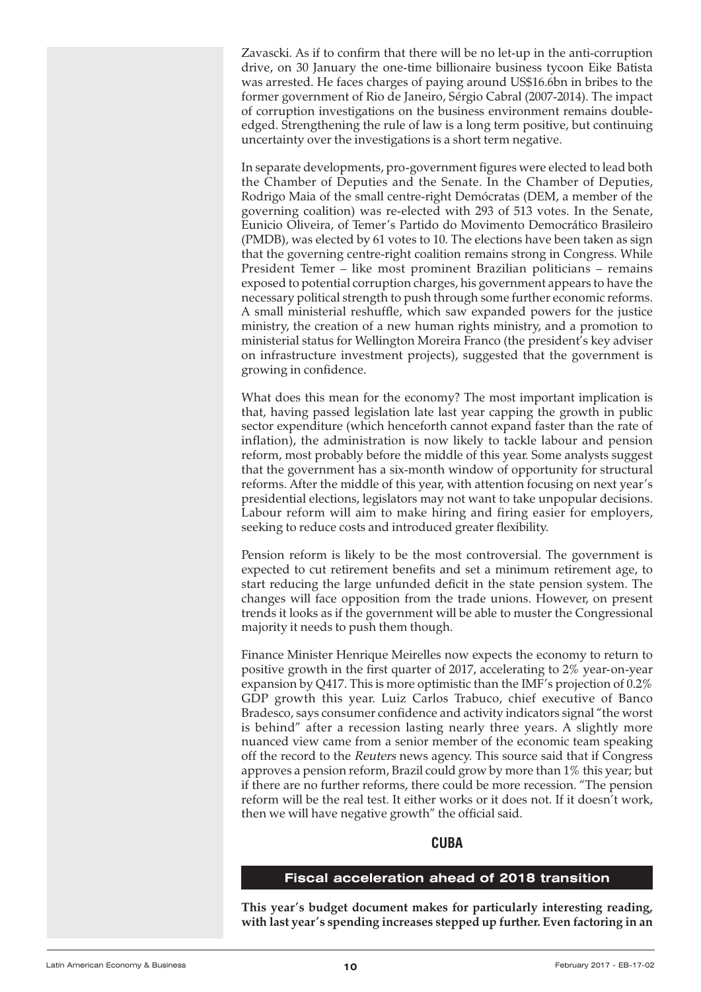<span id="page-9-0"></span>Zavascki. As if to confirm that there will be no let-up in the anti-corruption drive, on 30 January the one-time billionaire business tycoon Eike Batista was arrested. He faces charges of paying around US\$16.6bn in bribes to the former government of Rio de Janeiro, Sérgio Cabral (2007-2014). The impact of corruption investigations on the business environment remains doubleedged. Strengthening the rule of law is a long term positive, but continuing uncertainty over the investigations is a short term negative.

In separate developments, pro-government figures were elected to lead both the Chamber of Deputies and the Senate. In the Chamber of Deputies, Rodrigo Maia of the small centre-right Demócratas (DEM, a member of the governing coalition) was re-elected with 293 of 513 votes. In the Senate, Eunicio Oliveira, of Temer's Partido do Movimento Democrático Brasileiro (PMDB), was elected by 61 votes to 10. The elections have been taken as sign that the governing centre-right coalition remains strong in Congress. While President Temer – like most prominent Brazilian politicians – remains exposed to potential corruption charges, his government appears to have the necessary political strength to push through some further economic reforms. A small ministerial reshuffle, which saw expanded powers for the justice ministry, the creation of a new human rights ministry, and a promotion to ministerial status for Wellington Moreira Franco (the president's key adviser on infrastructure investment projects), suggested that the government is growing in confidence.

What does this mean for the economy? The most important implication is that, having passed legislation late last year capping the growth in public sector expenditure (which henceforth cannot expand faster than the rate of inflation), the administration is now likely to tackle labour and pension reform, most probably before the middle of this year. Some analysts suggest that the government has a six-month window of opportunity for structural reforms. After the middle of this year, with attention focusing on next year's presidential elections, legislators may not want to take unpopular decisions. Labour reform will aim to make hiring and firing easier for employers, seeking to reduce costs and introduced greater flexibility.

Pension reform is likely to be the most controversial. The government is expected to cut retirement benefits and set a minimum retirement age, to start reducing the large unfunded deficit in the state pension system. The changes will face opposition from the trade unions. However, on present trends it looks as if the government will be able to muster the Congressional majority it needs to push them though.

Finance Minister Henrique Meirelles now expects the economy to return to positive growth in the first quarter of 2017, accelerating to 2% year-on-year expansion by Q417. This is more optimistic than the IMF's projection of 0.2% GDP growth this year. Luiz Carlos Trabuco, chief executive of Banco Bradesco, says consumer confidence and activity indicators signal "the worst is behind" after a recession lasting nearly three years. A slightly more nuanced view came from a senior member of the economic team speaking off the record to the Reuters news agency. This source said that if Congress approves a pension reform, Brazil could grow by more than 1% this year; but if there are no further reforms, there could be more recession. "The pension reform will be the real test. It either works or it does not. If it doesn't work, then we will have negative growth" the official said.

## **CUBA**

# **Fiscal acceleration ahead of 2018 transition**

**This year's budget document makes for particularly interesting reading, with last year's spending increases stepped up further. Even factoring in an**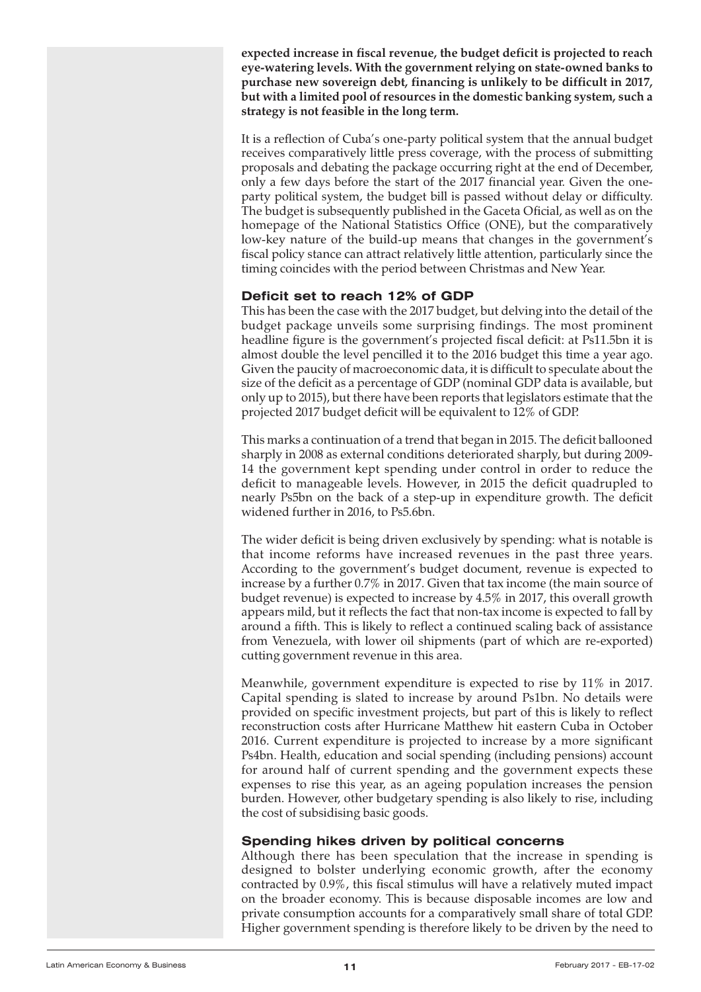**expected increase in fiscal revenue, the budget deficit is projected to reach eye-watering levels. With the government relying on state-owned banks to purchase new sovereign debt, financing is unlikely to be difficult in 2017, but with a limited pool of resources in the domestic banking system, such a strategy is not feasible in the long term.**

It is a reflection of Cuba's one-party political system that the annual budget receives comparatively little press coverage, with the process of submitting proposals and debating the package occurring right at the end of December, only a few days before the start of the 2017 financial year. Given the oneparty political system, the budget bill is passed without delay or difficulty. The budget is subsequently published in the Gaceta Oficial, as well as on the homepage of the National Statistics Office (ONE), but the comparatively low-key nature of the build-up means that changes in the government's fiscal policy stance can attract relatively little attention, particularly since the timing coincides with the period between Christmas and New Year.

# **Deficit set to reach 12% of GDP**

This has been the case with the 2017 budget, but delving into the detail of the budget package unveils some surprising findings. The most prominent headline figure is the government's projected fiscal deficit: at Ps11.5bn it is almost double the level pencilled it to the 2016 budget this time a year ago. Given the paucity of macroeconomic data, it is difficult to speculate about the size of the deficit as a percentage of GDP (nominal GDP data is available, but only up to 2015), but there have been reports that legislators estimate that the projected 2017 budget deficit will be equivalent to 12% of GDP.

This marks a continuation of a trend that began in 2015. The deficit ballooned sharply in 2008 as external conditions deteriorated sharply, but during 2009- 14 the government kept spending under control in order to reduce the deficit to manageable levels. However, in 2015 the deficit quadrupled to nearly Ps5bn on the back of a step-up in expenditure growth. The deficit widened further in 2016, to Ps5.6bn.

The wider deficit is being driven exclusively by spending: what is notable is that income reforms have increased revenues in the past three years. According to the government's budget document, revenue is expected to increase by a further 0.7% in 2017. Given that tax income (the main source of budget revenue) is expected to increase by 4.5% in 2017, this overall growth appears mild, but it reflects the fact that non-tax income is expected to fall by around a fifth. This is likely to reflect a continued scaling back of assistance from Venezuela, with lower oil shipments (part of which are re-exported) cutting government revenue in this area.

Meanwhile, government expenditure is expected to rise by 11% in 2017. Capital spending is slated to increase by around Ps1bn. No details were provided on specific investment projects, but part of this is likely to reflect reconstruction costs after Hurricane Matthew hit eastern Cuba in October 2016. Current expenditure is projected to increase by a more significant Ps4bn. Health, education and social spending (including pensions) account for around half of current spending and the government expects these expenses to rise this year, as an ageing population increases the pension burden. However, other budgetary spending is also likely to rise, including the cost of subsidising basic goods.

# **Spending hikes driven by political concerns**

Although there has been speculation that the increase in spending is designed to bolster underlying economic growth, after the economy contracted by 0.9%, this fiscal stimulus will have a relatively muted impact on the broader economy. This is because disposable incomes are low and private consumption accounts for a comparatively small share of total GDP. Higher government spending is therefore likely to be driven by the need to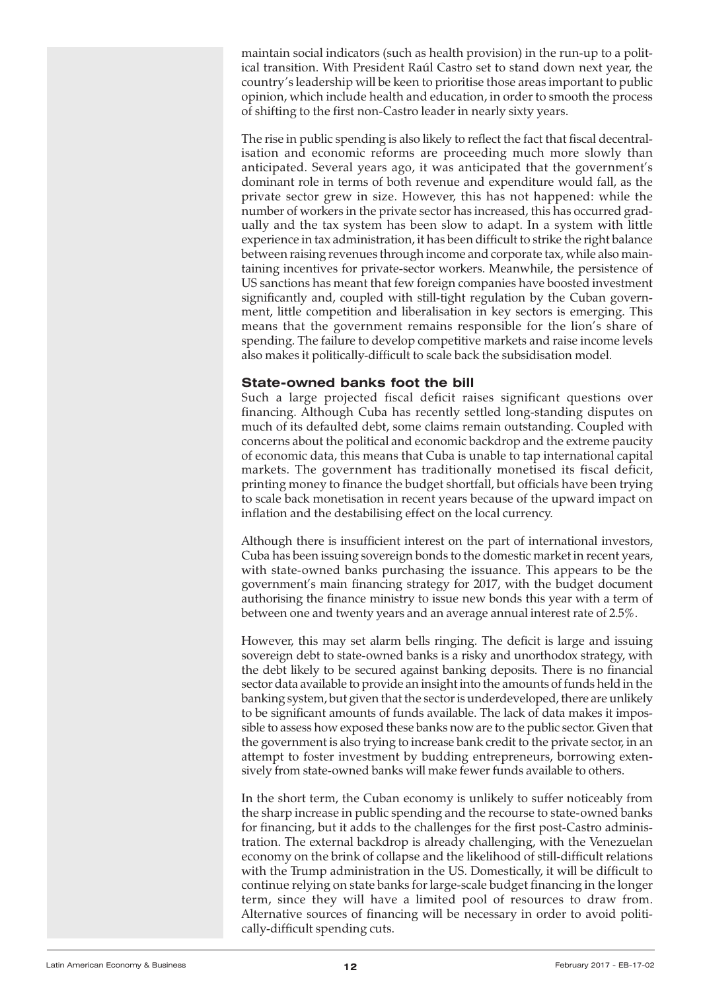maintain social indicators (such as health provision) in the run-up to a political transition. With President Raúl Castro set to stand down next year, the country's leadership will be keen to prioritise those areas important to public opinion, which include health and education, in order to smooth the process of shifting to the first non-Castro leader in nearly sixty years.

The rise in public spending is also likely to reflect the fact that fiscal decentralisation and economic reforms are proceeding much more slowly than anticipated. Several years ago, it was anticipated that the government's dominant role in terms of both revenue and expenditure would fall, as the private sector grew in size. However, this has not happened: while the number of workers in the private sector has increased, this has occurred gradually and the tax system has been slow to adapt. In a system with little experience in tax administration, it has been difficult to strike the right balance between raising revenues through income and corporate tax, while also maintaining incentives for private-sector workers. Meanwhile, the persistence of US sanctions has meant that few foreign companies have boosted investment significantly and, coupled with still-tight regulation by the Cuban government, little competition and liberalisation in key sectors is emerging. This means that the government remains responsible for the lion's share of spending. The failure to develop competitive markets and raise income levels also makes it politically-difficult to scale back the subsidisation model.

# **State-owned banks foot the bill**

Such a large projected fiscal deficit raises significant questions over financing. Although Cuba has recently settled long-standing disputes on much of its defaulted debt, some claims remain outstanding. Coupled with concerns about the political and economic backdrop and the extreme paucity of economic data, this means that Cuba is unable to tap international capital markets. The government has traditionally monetised its fiscal deficit, printing money to finance the budget shortfall, but officials have been trying to scale back monetisation in recent years because of the upward impact on inflation and the destabilising effect on the local currency.

Although there is insufficient interest on the part of international investors, Cuba has been issuing sovereign bonds to the domestic market in recent years, with state-owned banks purchasing the issuance. This appears to be the government's main financing strategy for 2017, with the budget document authorising the finance ministry to issue new bonds this year with a term of between one and twenty years and an average annual interest rate of 2.5%.

However, this may set alarm bells ringing. The deficit is large and issuing sovereign debt to state-owned banks is a risky and unorthodox strategy, with the debt likely to be secured against banking deposits. There is no financial sector data available to provide an insight into the amounts of funds held in the banking system, but given that the sector is underdeveloped, there are unlikely to be significant amounts of funds available. The lack of data makes it impossible to assess how exposed these banks now are to the public sector. Given that the government is also trying to increase bank credit to the private sector, in an attempt to foster investment by budding entrepreneurs, borrowing extensively from state-owned banks will make fewer funds available to others.

In the short term, the Cuban economy is unlikely to suffer noticeably from the sharp increase in public spending and the recourse to state-owned banks for financing, but it adds to the challenges for the first post-Castro administration. The external backdrop is already challenging, with the Venezuelan economy on the brink of collapse and the likelihood of still-difficult relations with the Trump administration in the US. Domestically, it will be difficult to continue relying on state banks for large-scale budget financing in the longer term, since they will have a limited pool of resources to draw from. Alternative sources of financing will be necessary in order to avoid politically-difficult spending cuts.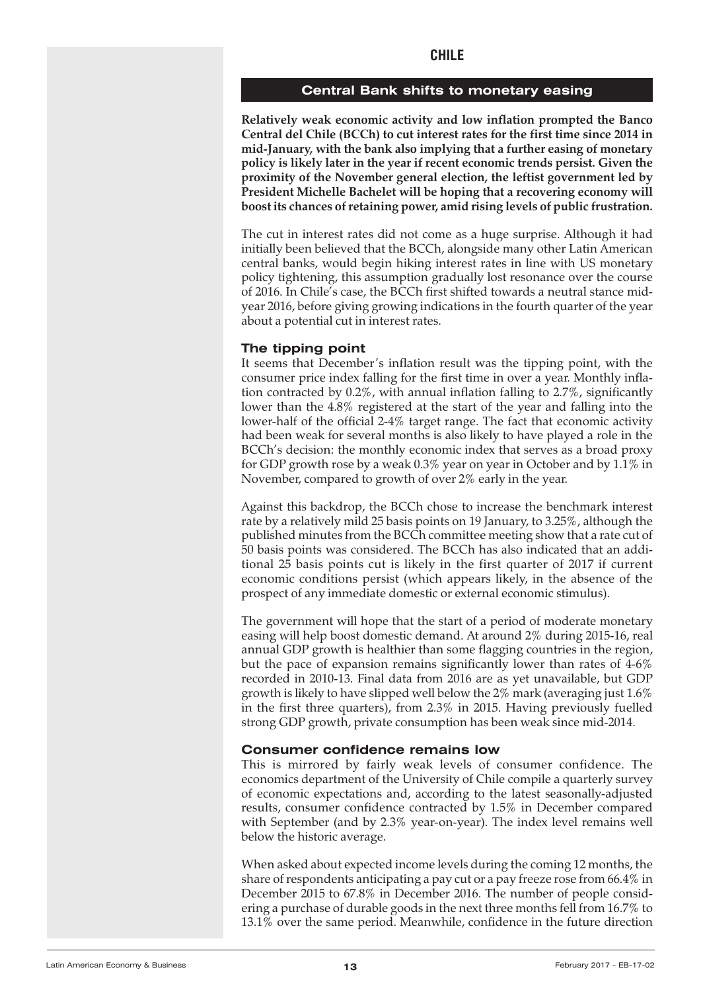#### **Central Bank shifts to monetary easing**

<span id="page-12-0"></span>**Relatively weak economic activity and low inflation prompted the Banco Central del Chile (BCCh) to cut interest rates for the first time since 2014 in mid-January, with the bank also implying that a further easing of monetary policy is likely later in the year if recent economic trends persist. Given the proximity of the November general election, the leftist government led by President Michelle Bachelet will be hoping that a recovering economy will boost its chances ofretaining power, amid rising levels of public frustration.**

The cut in interest rates did not come as a huge surprise. Although it had initially been believed that the BCCh, alongside many other Latin American central banks, would begin hiking interest rates in line with US monetary policy tightening, this assumption gradually lost resonance over the course of 2016. In Chile's case, the BCCh first shifted towards a neutral stance midyear 2016, before giving growing indications in the fourth quarter of the year about a potential cut in interest rates.

#### **The tipping point**

It seems that December's inflation result was the tipping point, with the consumer price index falling for the first time in over a year. Monthly inflation contracted by 0.2%, with annual inflation falling to 2.7%, significantly lower than the 4.8% registered at the start of the year and falling into the lower-half of the official 2-4% target range. The fact that economic activity had been weak for several months is also likely to have played a role in the BCCh's decision: the monthly economic index that serves as a broad proxy for GDP growth rose by a weak 0.3% year on year in October and by 1.1% in November, compared to growth of over 2% early in the year.

Against this backdrop, the BCCh chose to increase the benchmark interest rate by a relatively mild 25 basis points on 19 January, to 3.25%, although the published minutes from the BCCh committee meeting show that a rate cut of 50 basis points was considered. The BCCh has also indicated that an additional 25 basis points cut is likely in the first quarter of 2017 if current economic conditions persist (which appears likely, in the absence of the prospect of any immediate domestic or external economic stimulus).

The government will hope that the start of a period of moderate monetary easing will help boost domestic demand. At around 2% during 2015-16, real annual GDP growth is healthier than some flagging countries in the region, but the pace of expansion remains significantly lower than rates of 4-6% recorded in 2010-13. Final data from 2016 are as yet unavailable, but GDP growth is likely to have slipped well below the 2% mark (averaging just 1.6% in the first three quarters), from 2.3% in 2015. Having previously fuelled strong GDP growth, private consumption has been weak since mid-2014.

#### **Consumer confidence remains low**

This is mirrored by fairly weak levels of consumer confidence. The economics department of the University of Chile compile a quarterly survey of economic expectations and, according to the latest seasonally-adjusted results, consumer confidence contracted by 1.5% in December compared with September (and by 2.3% year-on-year). The index level remains well below the historic average.

When asked about expected income levels during the coming 12 months, the share of respondents anticipating a pay cut or a pay freeze rose from  $66.4\%$  in December 2015 to 67.8% in December 2016. The number of people considering a purchase of durable goods in the next three months fell from 16.7% to 13.1% over the same period. Meanwhile, confidence in the future direction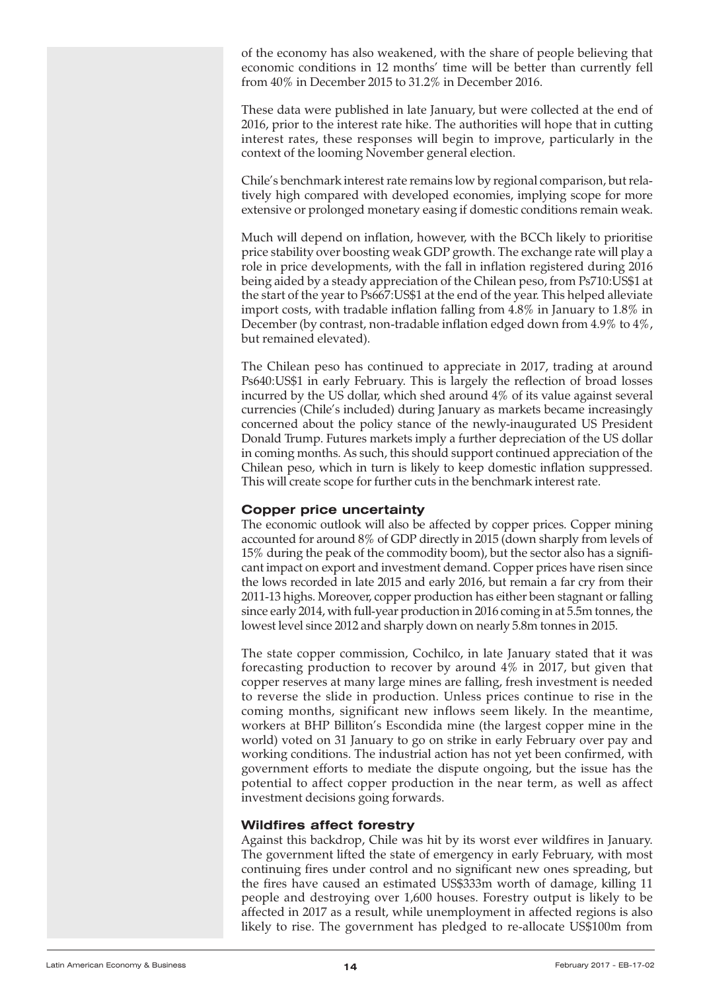of the economy has also weakened, with the share of people believing that economic conditions in 12 months' time will be better than currently fell from 40% in December 2015 to 31.2% in December 2016.

These data were published in late January, but were collected at the end of 2016, prior to the interest rate hike. The authorities will hope that in cutting interest rates, these responses will begin to improve, particularly in the context of the looming November general election.

Chile's benchmark interest rate remains low by regional comparison, but relatively high compared with developed economies, implying scope for more extensive or prolonged monetary easing if domestic conditions remain weak.

Much will depend on inflation, however, with the BCCh likely to prioritise price stability over boosting weak GDP growth. The exchange rate will play a role in price developments, with the fall in inflation registered during 2016 being aided by a steady appreciation of the Chilean peso, from Ps710:US\$1 at the start of the year to Ps667:US\$1 at the end of the year. This helped alleviate import costs, with tradable inflation falling from 4.8% in January to 1.8% in December (by contrast, non-tradable inflation edged down from 4.9% to 4%, but remained elevated).

The Chilean peso has continued to appreciate in 2017, trading at around Ps640:US\$1 in early February. This is largely the reflection of broad losses incurred by the US dollar, which shed around 4% of its value against several currencies (Chile's included) during January as markets became increasingly concerned about the policy stance of the newly-inaugurated US President Donald Trump. Futures markets imply a further depreciation of the US dollar in coming months. As such, this should support continued appreciation of the Chilean peso, which in turn is likely to keep domestic inflation suppressed. This will create scope for further cuts in the benchmark interest rate.

# **Copper price uncertainty**

The economic outlook will also be affected by copper prices. Copper mining accounted for around 8% of GDP directly in 2015 (down sharply from levels of 15% during the peak of the commodity boom), but the sector also has a significant impact on export and investment demand. Copper prices have risen since the lows recorded in late 2015 and early 2016, but remain a far cry from their 2011-13 highs. Moreover, copper production has either been stagnant or falling since early 2014, with full-year production in 2016 coming in at 5.5m tonnes, the lowest level since 2012 and sharply down on nearly 5.8m tonnes in 2015.

The state copper commission, Cochilco, in late January stated that it was forecasting production to recover by around 4% in 2017, but given that copper reserves at many large mines are falling, fresh investment is needed to reverse the slide in production. Unless prices continue to rise in the coming months, significant new inflows seem likely. In the meantime, workers at BHP Billiton's Escondida mine (the largest copper mine in the world) voted on 31 January to go on strike in early February over pay and working conditions. The industrial action has not yet been confirmed, with government efforts to mediate the dispute ongoing, but the issue has the potential to affect copper production in the near term, as well as affect investment decisions going forwards.

## **Wildfires affect forestry**

Against this backdrop, Chile was hit by its worst ever wildfires in January. The government lifted the state of emergency in early February, with most continuing fires under control and no significant new ones spreading, but the fires have caused an estimated US\$333m worth of damage, killing 11 people and destroying over 1,600 houses. Forestry output is likely to be affected in 2017 as a result, while unemployment in affected regions is also likely to rise. The government has pledged to re-allocate US\$100m from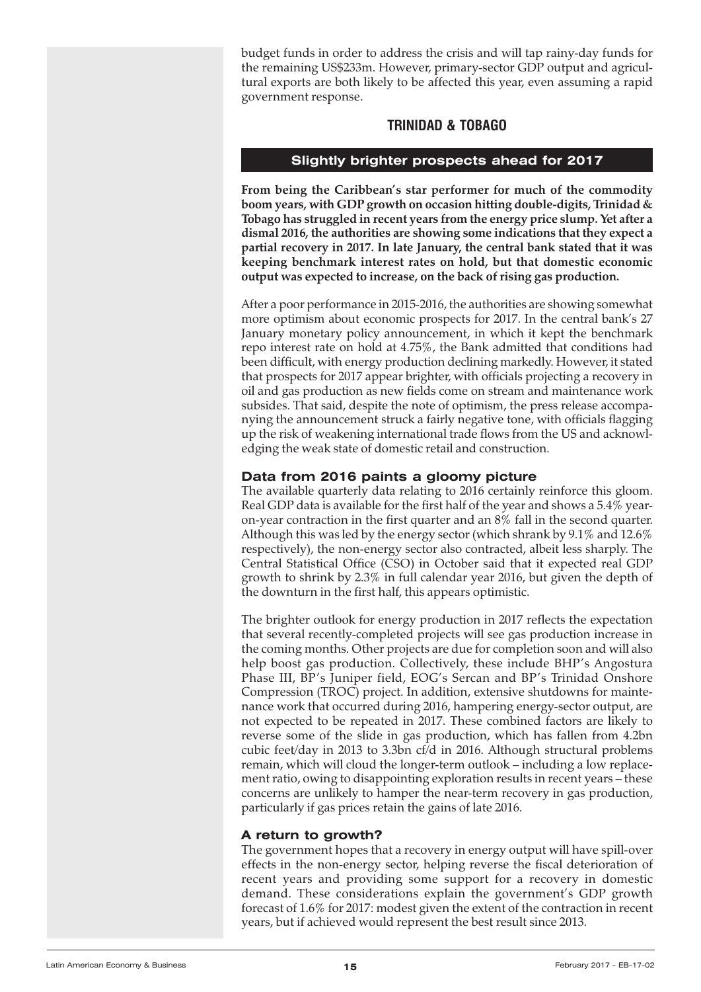<span id="page-14-0"></span>budget funds in order to address the crisis and will tap rainy-day funds for the remaining US\$233m. However, primary-sector GDP output and agricultural exports are both likely to be affected this year, even assuming a rapid government response.

# **TRINIDAD & TOBAGO**

# **Slightly brighter prospects ahead for 2017**

**From being the Caribbean's star performer for much of the commodity boom years, with GDP growth on occasion hitting double-digits, Trinidad & Tobago has struggled in recent years from the energy price slump. Yet after a dismal 2016, the authorities are showing some indications that they expect a partial recovery in 2017. In late January, the central bank stated that it was keeping benchmark interest rates on hold, but that domestic economic output was expected to increase, on the back of rising gas production.**

After a poor performance in 2015-2016, the authorities are showing somewhat more optimism about economic prospects for 2017. In the central bank's 27 January monetary policy announcement, in which it kept the benchmark repo interest rate on hold at 4.75%, the Bank admitted that conditions had been difficult, with energy production declining markedly. However, it stated that prospects for 2017 appear brighter, with officials projecting a recovery in oil and gas production as new fields come on stream and maintenance work subsides. That said, despite the note of optimism, the press release accompanying the announcement struck a fairly negative tone, with officials flagging up the risk of weakening international trade flows from the US and acknowledging the weak state of domestic retail and construction.

# **Data from 2016 paints a gloomy picture**

The available quarterly data relating to 2016 certainly reinforce this gloom. Real GDP data is available for the first half of the year and shows a 5.4% yearon-year contraction in the first quarter and an 8% fall in the second quarter. Although this was led by the energy sector (which shrank by 9.1% and 12.6% respectively), the non-energy sector also contracted, albeit less sharply. The Central Statistical Office (CSO) in October said that it expected real GDP growth to shrink by 2.3% in full calendar year 2016, but given the depth of the downturn in the first half, this appears optimistic.

The brighter outlook for energy production in 2017 reflects the expectation that several recently-completed projects will see gas production increase in the coming months. Other projects are due for completion soon and will also help boost gas production. Collectively, these include BHP's Angostura Phase III, BP's Juniper field, EOG's Sercan and BP's Trinidad Onshore Compression (TROC) project. In addition, extensive shutdowns for maintenance work that occurred during 2016, hampering energy-sector output, are not expected to be repeated in 2017. These combined factors are likely to reverse some of the slide in gas production, which has fallen from 4.2bn cubic feet/day in 2013 to 3.3bn cf/d in 2016. Although structural problems remain, which will cloud the longer-term outlook – including a low replacement ratio, owing to disappointing exploration results in recent years – these concerns are unlikely to hamper the near-term recovery in gas production, particularly if gas prices retain the gains of late 2016.

# **A return to growth?**

The government hopes that a recovery in energy output will have spill-over effects in the non-energy sector, helping reverse the fiscal deterioration of recent years and providing some support for a recovery in domestic demand. These considerations explain the government's GDP growth forecast of 1.6% for 2017: modest given the extent of the contraction in recent years, but if achieved would represent the best result since 2013.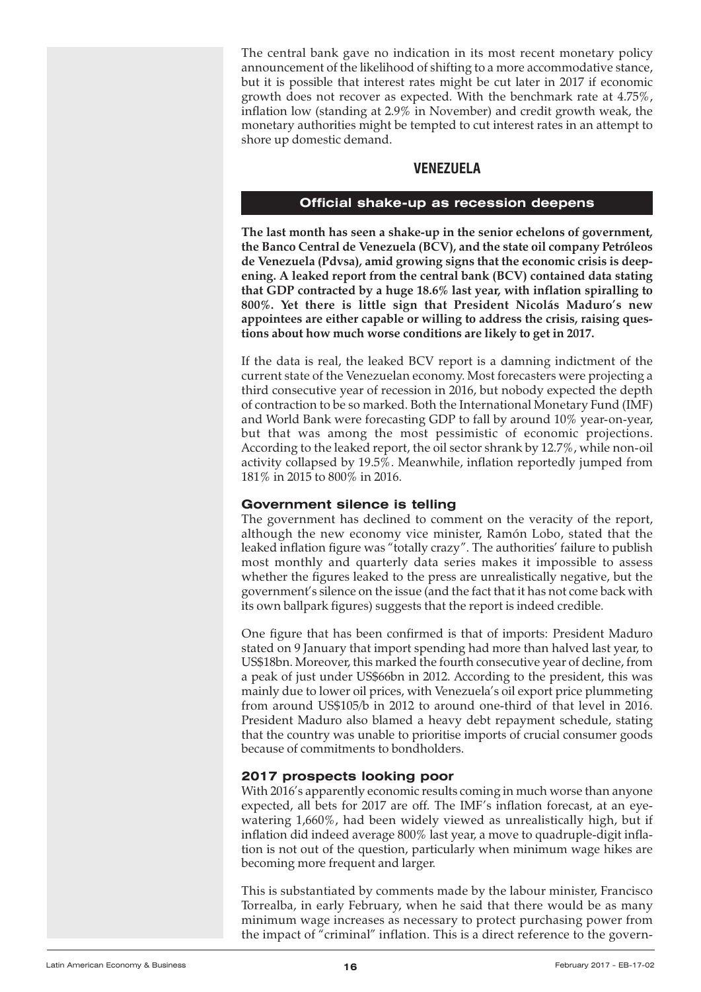<span id="page-15-0"></span>The central bank gave no indication in its most recent monetary policy announcement of the likelihood of shifting to a more accommodative stance, but it is possible that interest rates might be cut later in 2017 if economic growth does not recover as expected. With the benchmark rate at 4.75%, inflation low (standing at 2.9% in November) and credit growth weak, the monetary authorities might be tempted to cut interest rates in an attempt to shore up domestic demand.

# **VENEZUELA**

#### **Official shake-up as recession deepens**

**The last month has seen a shake-up in the senior echelons of government, the Banco Central de Venezuela (BCV), and the state oil company Petróleos de Venezuela (Pdvsa), amid growing signs that the economic crisis is deepening. A leaked report from the central bank (BCV) contained data stating that GDP contracted by a huge 18.6% last year, with inflation spiralling to 800%. Yet there is little sign that President Nicolás Maduro's new appointees are either capable or willing to address the crisis, raising questions about how much worse conditions are likely to get in 2017.**

If the data is real, the leaked BCV report is a damning indictment of the current state of the Venezuelan economy. Most forecasters were projecting a third consecutive year of recession in 2016, but nobody expected the depth of contraction to be so marked. Both the International Monetary Fund (IMF) and World Bank were forecasting GDP to fall by around 10% year-on-year, but that was among the most pessimistic of economic projections. According to the leaked report, the oil sector shrank by 12.7%, while non-oil activity collapsed by 19.5%. Meanwhile, inflation reportedly jumped from 181% in 2015 to 800% in 2016.

## **Government silence is telling**

The government has declined to comment on the veracity of the report, although the new economy vice minister, Ramón Lobo, stated that the leaked inflation figure was "totally crazy". The authorities' failure to publish most monthly and quarterly data series makes it impossible to assess whether the figures leaked to the press are unrealistically negative, but the government's silence on the issue (and the fact that it has not come back with its own ballpark figures) suggests that the report is indeed credible.

One figure that has been confirmed is that of imports: President Maduro stated on 9 January that import spending had more than halved last year, to US\$18bn. Moreover, this marked the fourth consecutive year of decline, from a peak of just under US\$66bn in 2012. According to the president, this was mainly due to lower oil prices, with Venezuela's oil export price plummeting from around US\$105/b in 2012 to around one-third of that level in 2016. President Maduro also blamed a heavy debt repayment schedule, stating that the country was unable to prioritise imports of crucial consumer goods because of commitments to bondholders.

## **2017 prospects looking poor**

With 2016's apparently economic results coming in much worse than anyone expected, all bets for 2017 are off. The IMF's inflation forecast, at an eyewatering 1,660%, had been widely viewed as unrealistically high, but if inflation did indeed average 800% last year, a move to quadruple-digit inflation is not out of the question, particularly when minimum wage hikes are becoming more frequent and larger.

This is substantiated by comments made by the labour minister, Francisco Torrealba, in early February, when he said that there would be as many minimum wage increases as necessary to protect purchasing power from the impact of "criminal" inflation. This is a direct reference to the govern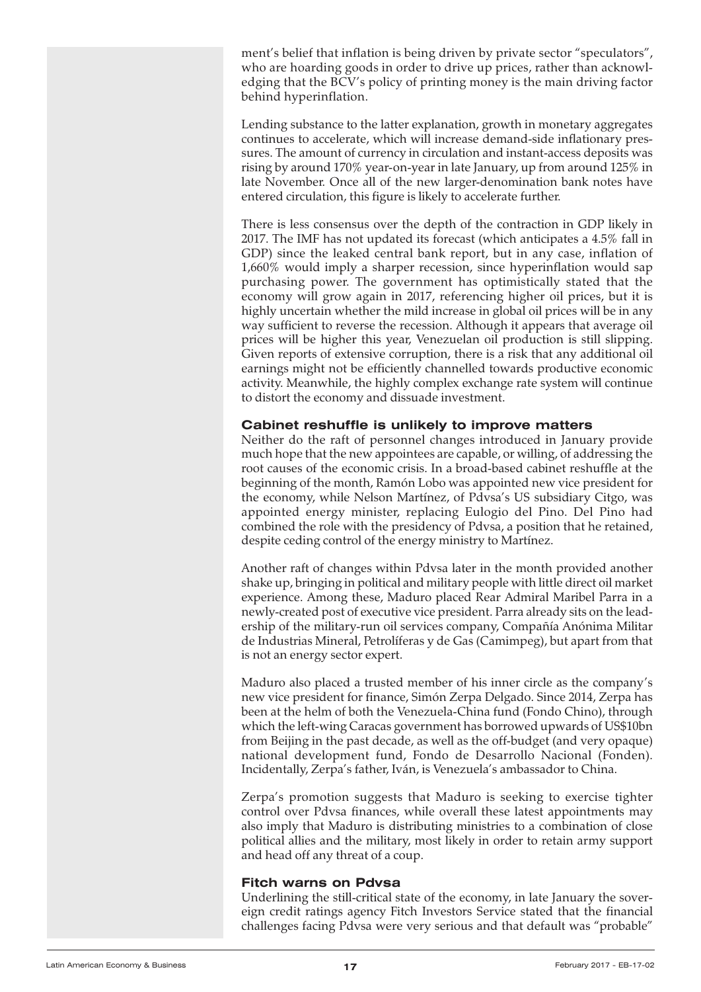ment's belief that inflation is being driven by private sector "speculators", who are hoarding goods in order to drive up prices, rather than acknowledging that the BCV's policy of printing money is the main driving factor behind hyperinflation.

Lending substance to the latter explanation, growth in monetary aggregates continues to accelerate, which will increase demand-side inflationary pressures. The amount of currency in circulation and instant-access deposits was rising by around 170% year-on-year in late January, up from around 125% in late November. Once all of the new larger-denomination bank notes have entered circulation, this figure is likely to accelerate further.

There is less consensus over the depth of the contraction in GDP likely in 2017. The IMF has not updated its forecast (which anticipates a 4.5% fall in GDP) since the leaked central bank report, but in any case, inflation of 1,660% would imply a sharper recession, since hyperinflation would sap purchasing power. The government has optimistically stated that the economy will grow again in 2017, referencing higher oil prices, but it is highly uncertain whether the mild increase in global oil prices will be in any way sufficient to reverse the recession. Although it appears that average oil prices will be higher this year, Venezuelan oil production is still slipping. Given reports of extensive corruption, there is a risk that any additional oil earnings might not be efficiently channelled towards productive economic activity. Meanwhile, the highly complex exchange rate system will continue to distort the economy and dissuade investment.

# **Cabinet reshuffle is unlikely to improve matters**

Neither do the raft of personnel changes introduced in January provide much hope that the new appointees are capable, or willing, of addressing the root causes of the economic crisis. In a broad-based cabinet reshuffle at the beginning of the month, Ramón Lobo was appointed new vice president for the economy, while Nelson Martínez, of Pdvsa's US subsidiary Citgo, was appointed energy minister, replacing Eulogio del Pino. Del Pino had combined the role with the presidency of Pdvsa, a position that he retained, despite ceding control of the energy ministry to Martínez.

Another raft of changes within Pdvsa later in the month provided another shake up, bringing in political and military people with little direct oil market experience. Among these, Maduro placed Rear Admiral Maribel Parra in a newly-created post of executive vice president. Parra already sits on the leadership of the military-run oil services company, Compañía Anónima Militar de Industrias Mineral, Petrolíferas y de Gas (Camimpeg), but apart from that is not an energy sector expert.

Maduro also placed a trusted member of his inner circle as the company's new vice president for finance, Simón Zerpa Delgado. Since 2014, Zerpa has been at the helm of both the Venezuela-China fund (Fondo Chino), through which the left-wing Caracas government has borrowed upwards of US\$10bn from Beijing in the past decade, as well as the off-budget (and very opaque) national development fund, Fondo de Desarrollo Nacional (Fonden). Incidentally, Zerpa's father, Iván, is Venezuela's ambassador to China.

Zerpa's promotion suggests that Maduro is seeking to exercise tighter control over Pdvsa finances, while overall these latest appointments may also imply that Maduro is distributing ministries to a combination of close political allies and the military, most likely in order to retain army support and head off any threat of a coup.

## **Fitch warns on Pdvsa**

Underlining the still-critical state of the economy, in late January the sovereign credit ratings agency Fitch Investors Service stated that the financial challenges facing Pdvsa were very serious and that default was "probable"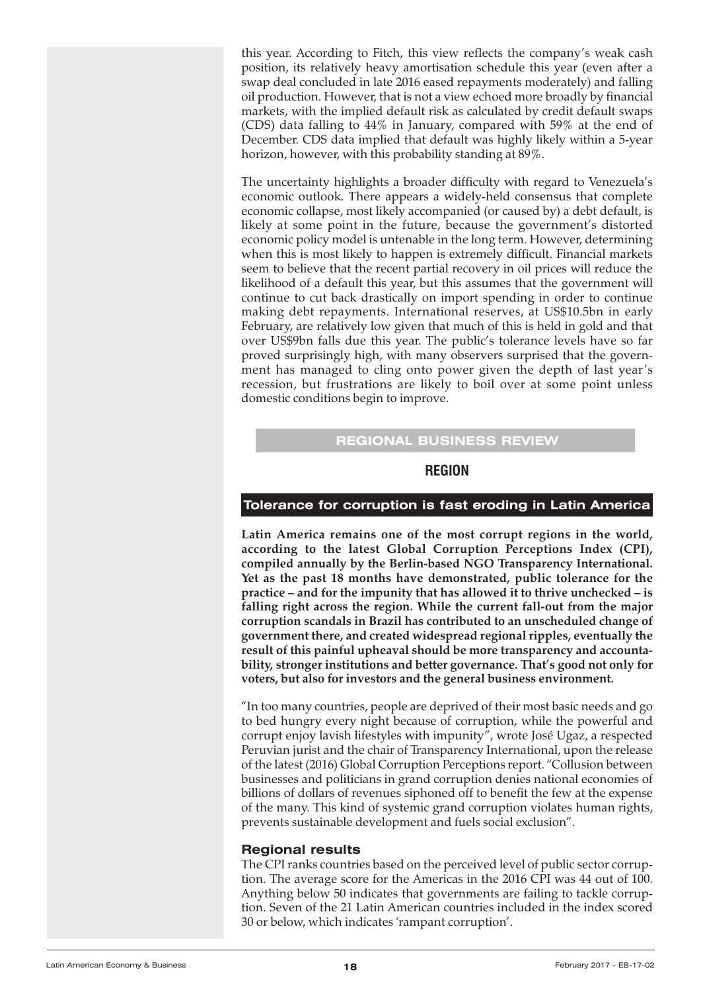<span id="page-17-0"></span>this year. According to Fitch, this view reflects the company's weak cash position, its relatively heavy amortisation schedule this year (even after a swap deal concluded in late 2016 eased repayments moderately) and falling oil production. However, that is not a view echoed more broadly by financial markets, with the implied default risk as calculated by credit default swaps (CDS) data falling to 44% in January, compared with 59% at the end of December. CDS data implied that default was highly likely within a 5-year horizon, however, with this probability standing at 89%.

The uncertainty highlights a broader difficulty with regard to Venezuela's economic outlook. There appears a widely-held consensus that complete economic collapse, most likely accompanied (or caused by) a debt default, is likely at some point in the future, because the government's distorted economic policy model is untenable in the long term. However, determining when this is most likely to happen is extremely difficult. Financial markets seem to believe that the recent partial recovery in oil prices will reduce the likelihood of a default this year, but this assumes that the government will continue to cut back drastically on import spending in order to continue making debt repayments. International reserves, at US\$10.5bn in early February, are relatively low given that much of this is held in gold and that over US\$9bn falls due this year. The public's tolerance levels have so far proved surprisingly high, with many observers surprised that the government has managed to cling onto power given the depth of last year's recession, but frustrations are likely to boil over at some point unless domestic conditions begin to improve.

# **REGIONAL BUSINESS REVIEW**

# **REGION**

## **Tolerance for corruption is fast eroding in Latin America**

**Latin America remains one of the most corrupt regions in the world, according to the latest Global Corruption Perceptions Index (CPI), compiled annually by the Berlin-based NGO Transparency International. Yet as the past 18 months have demonstrated, public tolerance for the practice – and for the impunity that has allowed it to thrive unchecked – is falling right across the region. While the current fall-out from the major corruption scandals in Brazil has contributed to an unscheduled change of government there, and created widespread regional ripples, eventually the result of this painful upheaval should be more transparency and accountability, stronger institutions and better governance. That's good not only for voters, but also for investors and the general business environment.**

"In too many countries, people are deprived of their most basic needs and go to bed hungry every night because of corruption, while the powerful and corrupt enjoy lavish lifestyles with impunity", wrote José Ugaz, a respected Peruvian jurist and the chair of Transparency International, upon the release of the latest (2016) Global Corruption Perceptions report. "Collusion between businesses and politicians in grand corruption denies national economies of billions of dollars of revenues siphoned off to benefit the few at the expense of the many. This kind of systemic grand corruption violates human rights, prevents sustainable development and fuels social exclusion".

## **Regional results**

The CPI ranks countries based on the perceived level of public sector corruption. The average score for the Americas in the 2016 CPI was 44 out of 100. Anything below 50 indicates that governments are failing to tackle corruption. Seven of the 21 Latin American countries included in the index scored 30 or below, which indicates 'rampant corruption'.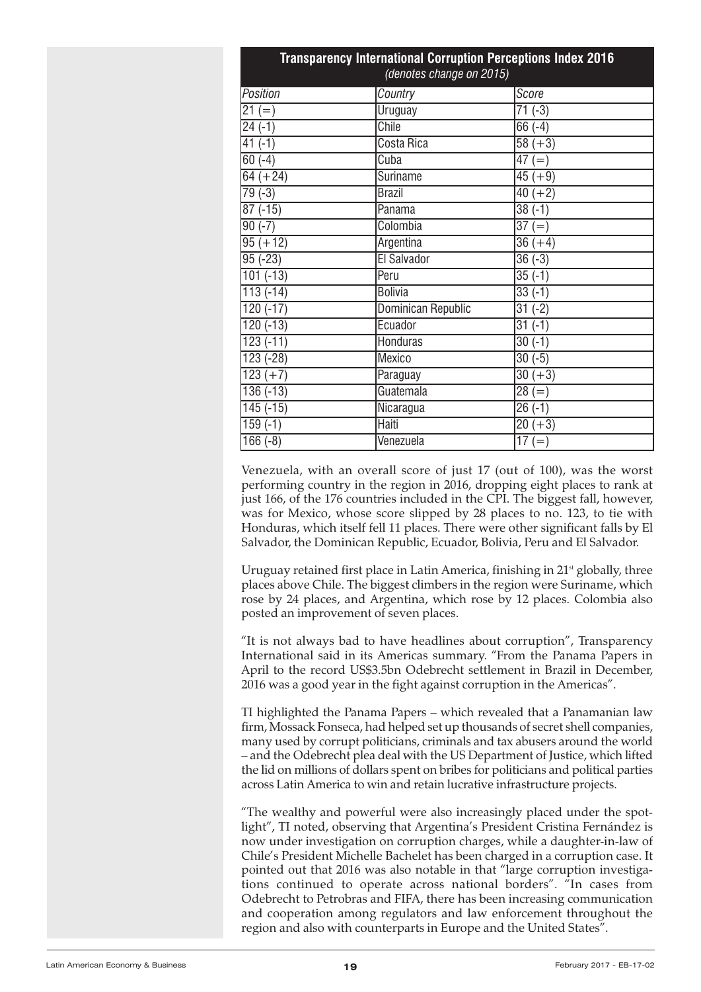| <b>Transparency International Corruption Perceptions Index 2016</b><br>(denotes change on 2015) |                           |                      |  |
|-------------------------------------------------------------------------------------------------|---------------------------|----------------------|--|
| Position                                                                                        | Country                   | Score                |  |
| $21 (=)$                                                                                        | Uruguay                   | $71(-3)$             |  |
| $24(-1)$                                                                                        | <b>Chile</b>              | $\overline{6}6$ (-4) |  |
| $41(-1)$                                                                                        | Costa Rica                | $58 (+3)$            |  |
| $60(-4)$                                                                                        | Cuba                      | $\overline{47}$ (=)  |  |
| $64 (+24)$                                                                                      | Suriname                  | $45 (+9)$            |  |
| $79(-3)$                                                                                        | <b>Brazil</b>             | $\frac{40 (+2)}{}$   |  |
| $87(-15)$                                                                                       | Panama                    | $38(-1)$             |  |
| $90(-7)$                                                                                        | Colombia                  | $\overline{37} (=)$  |  |
| $95 (+ 12)$                                                                                     | Argentina                 | $\overline{36} (+4)$ |  |
| $95(-23)$                                                                                       | El Salvador               | $36(-3)$             |  |
| $101(-13)$                                                                                      | Peru                      | $\overline{35}$ (-1) |  |
| $113(-14)$                                                                                      | <b>Bolivia</b>            | $\sqrt{33}(-1)$      |  |
| $120(-17)$                                                                                      | <b>Dominican Republic</b> | $31(-2)$             |  |
| $120(-13)$                                                                                      | Ecuador                   | $31(-1)$             |  |
| $123(-11)$                                                                                      | <b>Honduras</b>           | $30(-1)$             |  |
| 123 (-28)                                                                                       | Mexico                    | $30(-5)$             |  |
| $123 (+7)$                                                                                      | Paraguay                  | $\frac{1}{30} (+3)$  |  |
| $136(-13)$                                                                                      | Guatemala                 | $\sqrt{28} (=)$      |  |
| $145(-15)$                                                                                      | Nicaragua                 | $26(-1)$             |  |
| $159(-1)$                                                                                       | <b>Haiti</b>              | $\overline{20} (+3)$ |  |
| $166(-8)$                                                                                       | Venezuela                 | $17 (=)$             |  |

Venezuela, with an overall score of just 17 (out of 100), was the worst performing country in the region in 2016, dropping eight places to rank at just 166, of the 176 countries included in the CPI. The biggest fall, however, was for Mexico, whose score slipped by 28 places to no. 123, to tie with Honduras, which itself fell 11 places. There were other significant falls by El Salvador, the Dominican Republic, Ecuador, Bolivia, Peru and El Salvador.

Uruguay retained first place in Latin America, finishing in  $21<sup>st</sup>$  globally, three places above Chile. The biggest climbers in the region were Suriname, which rose by 24 places, and Argentina, which rose by 12 places. Colombia also posted an improvement of seven places.

"It is not always bad to have headlines about corruption", Transparency International said in its Americas summary. "From the Panama Papers in April to the record US\$3.5bn Odebrecht settlement in Brazil in December, 2016 was a good year in the fight against corruption in the Americas".

TI highlighted the Panama Papers – which revealed that a Panamanian law firm, Mossack Fonseca, had helped set up thousands of secret shell companies, many used by corrupt politicians, criminals and tax abusers around the world – and the Odebrecht plea deal with the US Department of Justice, which lifted the lid on millions of dollars spent on bribes for politicians and political parties across Latin America to win and retain lucrative infrastructure projects.

"The wealthy and powerful were also increasingly placed under the spotlight", TI noted, observing that Argentina's President Cristina Fernández is now under investigation on corruption charges, while a daughter-in-law of Chile's President Michelle Bachelet has been charged in a corruption case. It pointed out that 2016 was also notable in that "large corruption investigations continued to operate across national borders". "In cases from Odebrecht to Petrobras and FIFA, there has been increasing communication and cooperation among regulators and law enforcement throughout the region and also with counterparts in Europe and the United States".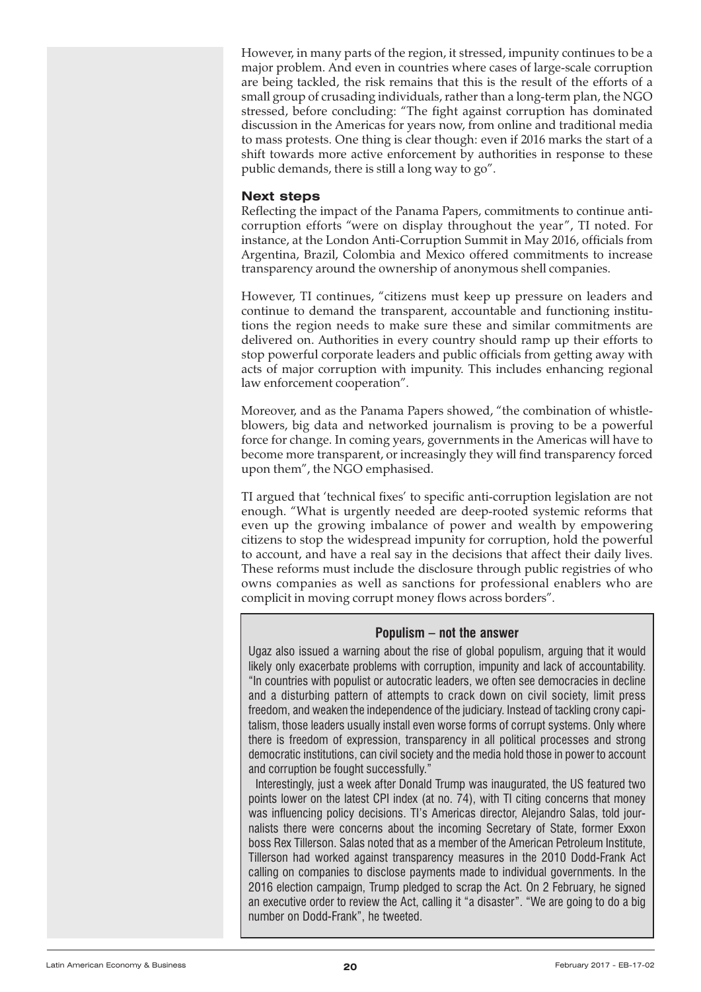However, in many parts of the region, it stressed, impunity continues to be a major problem. And even in countries where cases of large-scale corruption are being tackled, the risk remains that this is the result of the efforts of a small group of crusading individuals, rather than a long-term plan, the NGO stressed, before concluding: "The fight against corruption has dominated discussion in the Americas for years now, from online and traditional media to mass protests. One thing is clear though: even if 2016 marks the start of a shift towards more active enforcement by authorities in response to these public demands, there is still a long way to go".

## **Next steps**

Reflecting the impact of the Panama Papers, commitments to continue anticorruption efforts "were on display throughout the year", TI noted. For instance, at the London Anti-Corruption Summit in May 2016, officials from Argentina, Brazil, Colombia and Mexico offered commitments to increase transparency around the ownership of anonymous shell companies.

However, TI continues, "citizens must keep up pressure on leaders and continue to demand the transparent, accountable and functioning institutions the region needs to make sure these and similar commitments are delivered on. Authorities in every country should ramp up their efforts to stop powerful corporate leaders and public officials from getting away with acts of major corruption with impunity. This includes enhancing regional law enforcement cooperation".

Moreover, and as the Panama Papers showed, "the combination of whistleblowers, big data and networked journalism is proving to be a powerful force for change. In coming years, governments in the Americas will have to become more transparent, or increasingly they will find transparency forced upon them", the NGO emphasised.

TI argued that 'technical fixes' to specific anti-corruption legislation are not enough. "What is urgently needed are deep-rooted systemic reforms that even up the growing imbalance of power and wealth by empowering citizens to stop the widespread impunity for corruption, hold the powerful to account, and have a real say in the decisions that affect their daily lives. These reforms must include the disclosure through public registries of who owns companies as well as sanctions for professional enablers who are complicit in moving corrupt money flows across borders".

## **Populism – not the answer**

Ugaz also issued a warning about the rise of global populism, arguing that it would likely only exacerbate problems with corruption, impunity and lack of accountability. "In countries with populist or autocratic leaders, we often see democracies in decline and a disturbing pattern of attempts to crack down on civil society, limit press freedom, and weaken the independence of the judiciary. Instead of tackling crony capitalism, those leaders usually install even worse forms of corrupt systems. Only where there is freedom of expression, transparency in all political processes and strong democratic institutions, can civil society and the media hold those in power to account and corruption be fought successfully."

Interestingly, just a week after Donald Trump was inaugurated, the US featured two points lower on the latest CPI index (at no. 74), with TI citing concerns that money was influencing policy decisions. TI's Americas director, Alejandro Salas, told journalists there were concerns about the incoming Secretary of State, former Exxon boss Rex Tillerson. Salas noted that as a member of the American Petroleum Institute, Tillerson had worked against transparency measures in the 2010 Dodd-Frank Act calling on companies to disclose payments made to individual governments. In the 2016 election campaign, Trump pledged to scrap the Act. On 2 February, he signed an executive order to review the Act, calling it "a disaster". "We are going to do a big number on Dodd-Frank", he tweeted.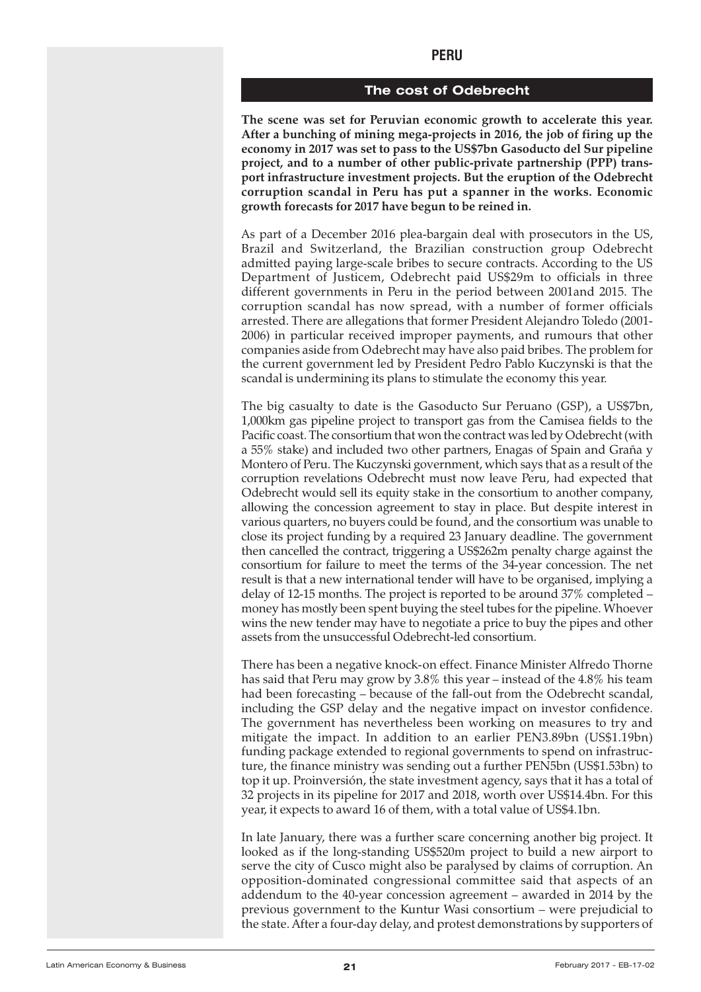#### **The cost of Odebrecht**

<span id="page-20-0"></span>**The scene was set for Peruvian economic growth to accelerate this year. After a bunching of mining mega-projects in 2016, the job of firing up the economy in 2017 was set to pass to the US\$7bn Gasoducto del Sur pipeline project, and to a number of other public-private partnership (PPP) transport infrastructure investment projects. But the eruption of the Odebrecht corruption scandal in Peru has put a spanner in the works. Economic growth forecasts for 2017 have begun to be reined in.**

As part of a December 2016 plea-bargain deal with prosecutors in the US, Brazil and Switzerland, the Brazilian construction group Odebrecht admitted paying large-scale bribes to secure contracts. According to the US Department of Justicem, Odebrecht paid US\$29m to officials in three different governments in Peru in the period between 2001and 2015. The corruption scandal has now spread, with a number of former officials arrested. There are allegations that former President Alejandro Toledo (2001- 2006) in particular received improper payments, and rumours that other companies aside from Odebrecht may have also paid bribes. The problem for the current government led by President Pedro Pablo Kuczynski is that the scandal is undermining its plans to stimulate the economy this year.

The big casualty to date is the Gasoducto Sur Peruano (GSP), a US\$7bn, 1,000km gas pipeline project to transport gas from the Camisea fields to the Pacific coast. The consortium that won the contract was led by Odebrecht(with a 55% stake) and included two other partners, Enagas of Spain and Graña y Montero of Peru. The Kuczynski government, which says that as a result of the corruption revelations Odebrecht must now leave Peru, had expected that Odebrecht would sell its equity stake in the consortium to another company, allowing the concession agreement to stay in place. But despite interest in various quarters, no buyers could be found, and the consortium was unable to close its project funding by a required 23 January deadline. The government then cancelled the contract, triggering a US\$262m penalty charge against the consortium for failure to meet the terms of the 34-year concession. The net result is that a new international tender will have to be organised, implying a delay of 12-15 months. The project is reported to be around 37% completed – money has mostly been spent buying the steel tubes forthe pipeline. Whoever wins the new tender may have to negotiate a price to buy the pipes and other assets from the unsuccessful Odebrecht-led consortium.

There has been a negative knock-on effect. Finance Minister Alfredo Thorne has said that Peru may grow by 3.8% this year – instead of the 4.8% his team had been forecasting – because of the fall-out from the Odebrecht scandal, including the GSP delay and the negative impact on investor confidence. The government has nevertheless been working on measures to try and mitigate the impact. In addition to an earlier PEN3.89bn (US\$1.19bn) funding package extended to regional governments to spend on infrastructure, the finance ministry was sending out a further PEN5bn (US\$1.53bn) to top it up. Proinversión, the state investment agency, says that it has a total of 32 projects in its pipeline for 2017 and 2018, worth over US\$14.4bn. For this year, it expects to award 16 of them, with a total value of US\$4.1bn.

In late January, there was a further scare concerning another big project. It looked as if the long-standing US\$520m project to build a new airport to serve the city of Cusco might also be paralysed by claims of corruption. An opposition-dominated congressional committee said that aspects of an addendum to the 40-year concession agreement – awarded in 2014 by the previous government to the Kuntur Wasi consortium – were prejudicial to the state. After a four-day delay, and protest demonstrations by supporters of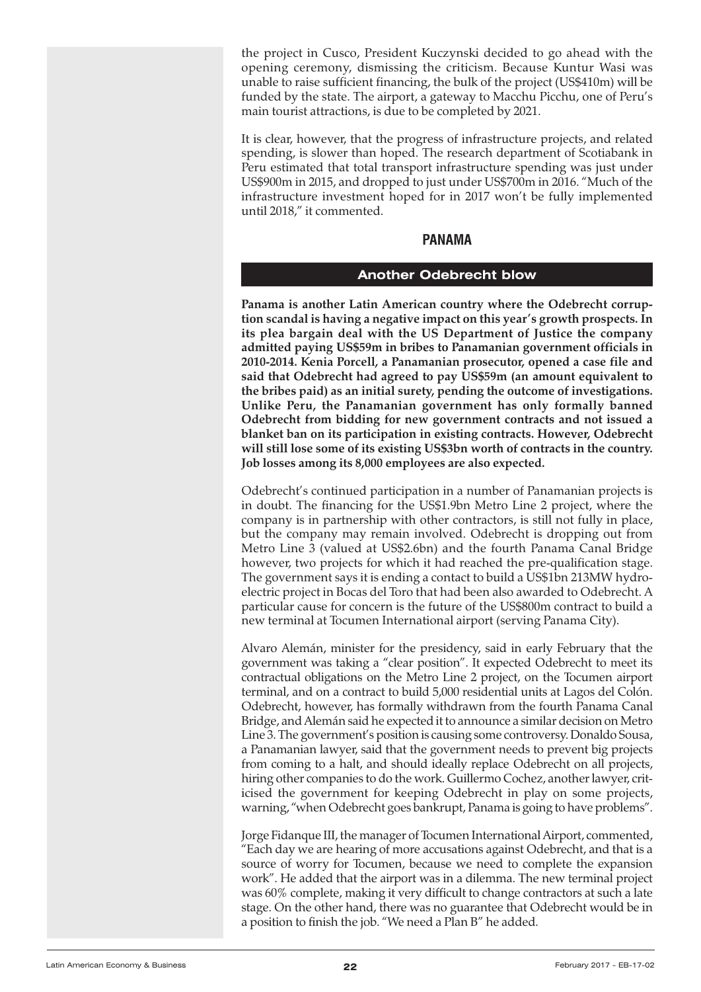<span id="page-21-0"></span>the project in Cusco, President Kuczynski decided to go ahead with the opening ceremony, dismissing the criticism. Because Kuntur Wasi was unable to raise sufficient financing, the bulk of the project (US\$410m) will be funded by the state. The airport, a gateway to Macchu Picchu, one of Peru's main tourist attractions, is due to be completed by 2021.

It is clear, however, that the progress of infrastructure projects, and related spending, is slower than hoped. The research department of Scotiabank in Peru estimated that total transport infrastructure spending was just under US\$900m in 2015, and dropped to just under US\$700m in 2016. "Much of the infrastructure investment hoped for in 2017 won't be fully implemented until 2018," it commented.

# **PANAMA**

## **Another Odebrecht blow**

**Panama is another Latin American country where the Odebrecht corruption scandal is having a negative impact on this year's growth prospects. In its plea bargain deal with the US Department of Justice the company admitted paying US\$59m in bribes to Panamanian government officials in 2010-2014. Kenia Porcell, a Panamanian prosecutor, opened a case file and said that Odebrecht had agreed to pay US\$59m (an amount equivalent to the bribes paid) as an initial surety, pending the outcome of investigations. Unlike Peru, the Panamanian government has only formally banned Odebrecht from bidding for new government contracts and not issued a blanket ban on its participation in existing contracts. However, Odebrecht will still lose some of its existing US\$3bn worth of contracts in the country. Job losses among its 8,000 employees are also expected.**

Odebrecht's continued participation in a number of Panamanian projects is in doubt. The financing for the US\$1.9bn Metro Line 2 project, where the company is in partnership with other contractors, is still not fully in place, but the company may remain involved. Odebrecht is dropping out from Metro Line 3 (valued at US\$2.6bn) and the fourth Panama Canal Bridge however, two projects for which it had reached the pre-qualification stage. The government says it is ending a contact to build a US\$1bn 213MW hydroelectric project in Bocas del Toro that had been also awarded to Odebrecht. A particular cause for concern is the future of the US\$800m contract to build a new terminal at Tocumen International airport (serving Panama City).

Alvaro Alemán, minister for the presidency, said in early February that the government was taking a "clear position". It expected Odebrecht to meet its contractual obligations on the Metro Line 2 project, on the Tocumen airport terminal, and on a contract to build 5,000 residential units at Lagos del Colón. Odebrecht, however, has formally withdrawn from the fourth Panama Canal Bridge, and Alemán said he expected it to announce a similar decision on Metro Line 3. The government's position is causing some controversy. Donaldo Sousa, a Panamanian lawyer, said that the government needs to prevent big projects from coming to a halt, and should ideally replace Odebrecht on all projects, hiring other companies to do the work. Guillermo Cochez, another lawyer, criticised the government for keeping Odebrecht in play on some projects, warning, "when Odebrecht goes bankrupt, Panama is going to have problems".

Jorge Fidanque III, the manager of Tocumen International Airport, commented, "Each day we are hearing of more accusations against Odebrecht, and that is a source of worry for Tocumen, because we need to complete the expansion work". He added that the airport was in a dilemma. The new terminal project was 60% complete, making it very difficult to change contractors at such a late stage. On the other hand, there was no guarantee that Odebrecht would be in a position to finish the job. "We need a Plan B" he added.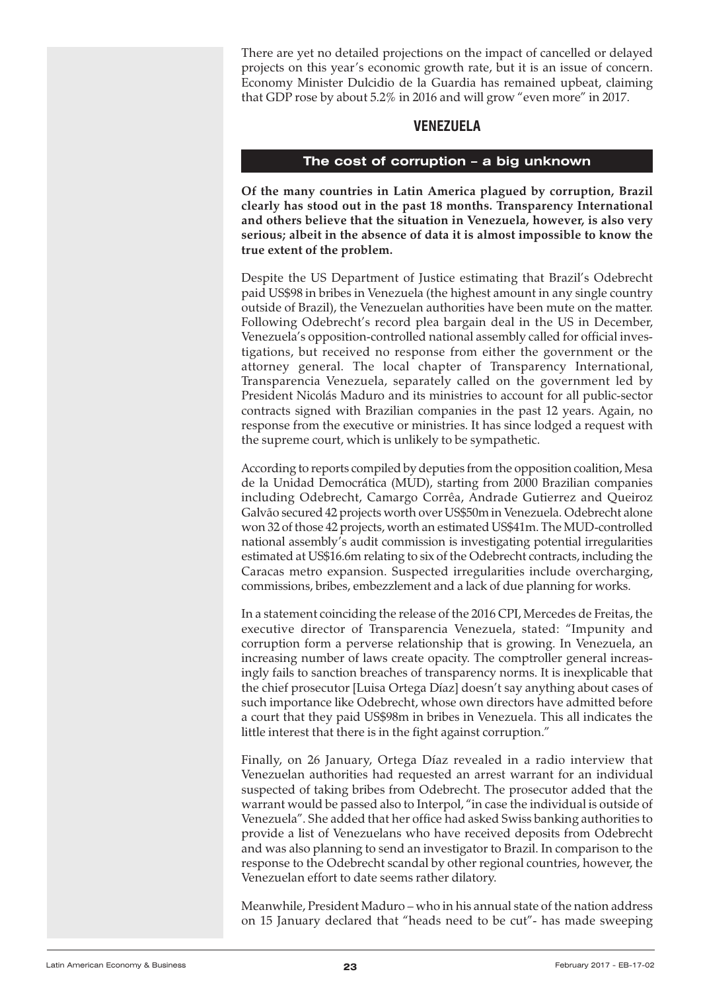<span id="page-22-0"></span>There are yet no detailed projections on the impact of cancelled or delayed projects on this year's economic growth rate, but it is an issue of concern. Economy Minister Dulcidio de la Guardia has remained upbeat, claiming that GDP rose by about 5.2% in 2016 and will grow "even more" in 2017.

## **VENEZUELA**

## **The cost of corruption – a big unknown**

**Of the many countries in Latin America plagued by corruption, Brazil clearly has stood out in the past 18 months. Transparency International and others believe that the situation in Venezuela, however, is also very serious; albeit in the absence of data it is almost impossible to know the true extent of the problem.**

Despite the US Department of Justice estimating that Brazil's Odebrecht paid US\$98 in bribes in Venezuela (the highest amount in any single country outside of Brazil), the Venezuelan authorities have been mute on the matter. Following Odebrecht's record plea bargain deal in the US in December, Venezuela's opposition-controlled national assembly called for official investigations, but received no response from either the government or the attorney general. The local chapter of Transparency International, Transparencia Venezuela, separately called on the government led by President Nicolás Maduro and its ministries to account for all public-sector contracts signed with Brazilian companies in the past 12 years. Again, no response from the executive or ministries. It has since lodged a request with the supreme court, which is unlikely to be sympathetic.

According to reports compiled by deputies from the opposition coalition, Mesa de la Unidad Democrática (MUD), starting from 2000 Brazilian companies including Odebrecht, Camargo Corrêa, Andrade Gutierrez and Queiroz Galvão secured 42 projects worth over US\$50m in Venezuela. Odebrecht alone won 32 of those 42 projects, worth an estimated US\$41m. The MUD-controlled national assembly's audit commission is investigating potential irregularities estimated at US\$16.6m relating to six of the Odebrecht contracts, including the Caracas metro expansion. Suspected irregularities include overcharging, commissions, bribes, embezzlement and a lack of due planning for works.

In a statement coinciding the release of the 2016 CPI, Mercedes de Freitas, the executive director of Transparencia Venezuela, stated: "Impunity and corruption form a perverse relationship that is growing. In Venezuela, an increasing number of laws create opacity. The comptroller general increasingly fails to sanction breaches of transparency norms. It is inexplicable that the chief prosecutor [Luisa Ortega Díaz] doesn't say anything about cases of such importance like Odebrecht, whose own directors have admitted before a court that they paid US\$98m in bribes in Venezuela. This all indicates the little interest that there is in the fight against corruption."

Finally, on 26 January, Ortega Díaz revealed in a radio interview that Venezuelan authorities had requested an arrest warrant for an individual suspected of taking bribes from Odebrecht. The prosecutor added that the warrant would be passed also to Interpol, "in case the individual is outside of Venezuela". She added that her office had asked Swiss banking authorities to provide a list of Venezuelans who have received deposits from Odebrecht and was also planning to send an investigator to Brazil. In comparison to the response to the Odebrecht scandal by other regional countries, however, the Venezuelan effort to date seems rather dilatory.

Meanwhile, President Maduro – who in his annual state of the nation address on 15 January declared that "heads need to be cut"- has made sweeping